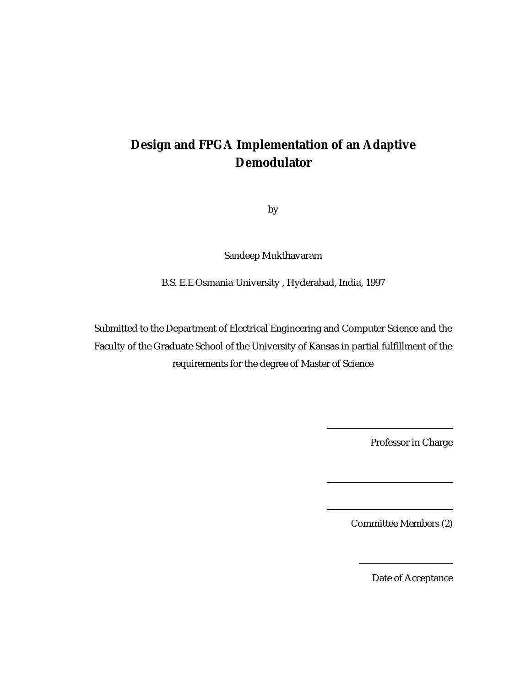# **Design and FPGA Implementation of an Adaptive Demodulator**

by

Sandeep Mukthavaram

B.S. E.E Osmania University , Hyderabad, India, 1997

Submitted to the Department of Electrical Engineering and Computer Science and the Faculty of the Graduate School of the University of Kansas in partial fulfillment of the requirements for the degree of Master of Science

Professor in Charge

Committee Members (2)

Date of Acceptance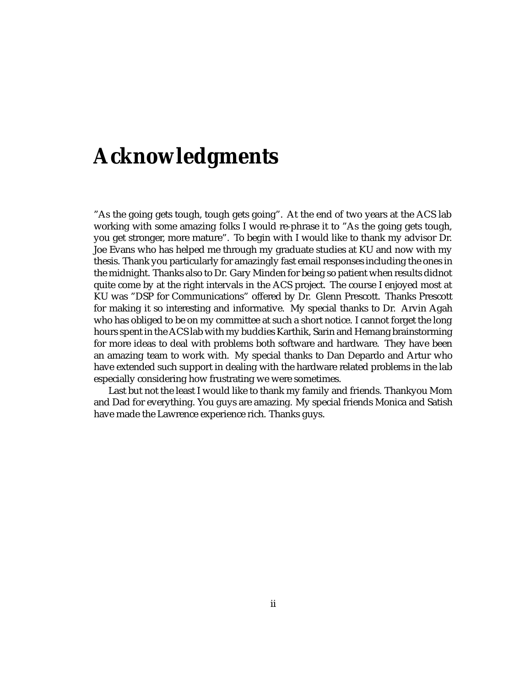# **Acknowledgments**

"As the going gets tough, tough gets going". At the end of two years at the ACS lab working with some amazing folks I would re-phrase it to "As the going gets tough, you get stronger, more mature". To begin with I would like to thank my advisor Dr. Joe Evans who has helped me through my graduate studies at KU and now with my thesis. Thank you particularly for amazingly fast email responses including the ones in the midnight. Thanks also to Dr. Gary Minden for being so patient when results didnot quite come by at the right intervals in the ACS project. The course I enjoyed most at KU was "DSP for Communications" offered by Dr. Glenn Prescott. Thanks Prescott for making it so interesting and informative. My special thanks to Dr. Arvin Agah who has obliged to be on my committee at such a short notice. I cannot forget the long hours spent in the ACS lab with my buddies Karthik, Sarin and Hemang brainstorming for more ideas to deal with problems both software and hardware. They have been an amazing team to work with. My special thanks to Dan Depardo and Artur who have extended such support in dealing with the hardware related problems in the lab especially considering how frustrating we were sometimes.

Last but not the least I would like to thank my family and friends. Thankyou Mom and Dad for everything. You guys are amazing. My special friends Monica and Satish have made the Lawrence experience rich. Thanks guys.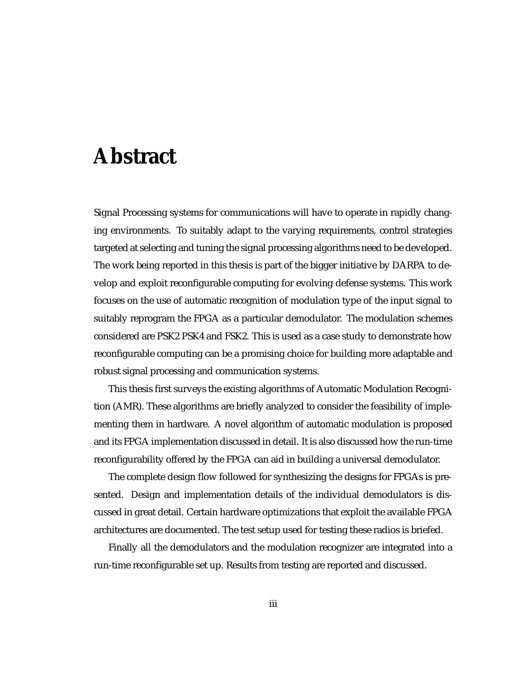# **Abstract**

Signal Processing systems for communications will have to operate in rapidly changing environments. To suitably adapt to the varying requirements, control strategies targeted at selecting and tuning the signal processing algorithms need to be developed. The work being reported in this thesis is part of the bigger initiative by DARPA to develop and exploit reconfigurable computing for evolving defense systems. This work focuses on the use of automatic recognition of modulation type of the input signal to suitably reprogram the FPGA as a particular demodulator. The modulation schemes considered are PSK2 PSK4 and FSK2. This is used as a case study to demonstrate how reconfigurable computing can be a promising choice for building more adaptable and robust signal processing and communication systems.

This thesis first surveys the existing algorithms of Automatic Modulation Recognition (AMR). These algorithms are briefly analyzed to consider the feasibility of implementing them in hardware. A novel algorithm of automatic modulation is proposed and its FPGA implementation discussed in detail. It is also discussed how the run-time reconfigurability offered by the FPGA can aid in building a universal demodulator.

The complete design flow followed for synthesizing the designs for FPGAs is presented. Design and implementation details of the individual demodulators is discussed in great detail. Certain hardware optimizations that exploit the available FPGA architectures are documented. The test setup used for testing these radios is briefed.

Finally all the demodulators and the modulation recognizer are integrated into a run-time reconfigurable set up. Results from testing are reported and discussed.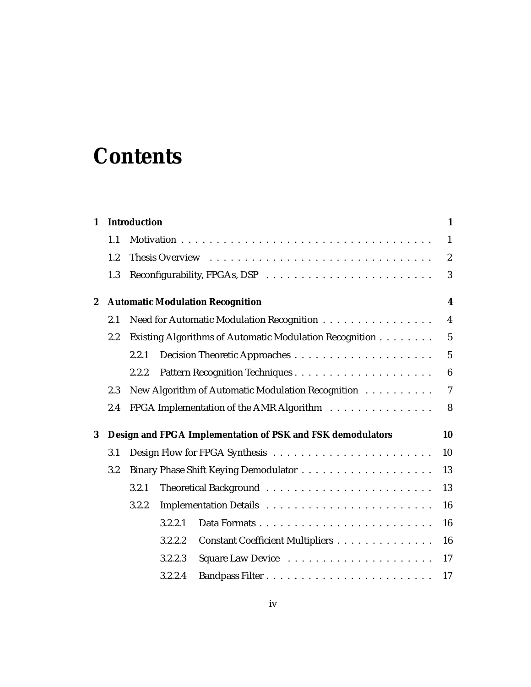# **Contents**

| $\mathbf{1}$     |     | <b>Introduction</b>                                        | $\mathbf{1}$     |
|------------------|-----|------------------------------------------------------------|------------------|
|                  | 1.1 |                                                            | $\mathbf{1}$     |
|                  | 1.2 |                                                            | $\boldsymbol{2}$ |
|                  | 1.3 |                                                            | 3                |
| $\boldsymbol{2}$ |     | <b>Automatic Modulation Recognition</b>                    | $\boldsymbol{4}$ |
|                  | 2.1 | Need for Automatic Modulation Recognition                  | $\overline{4}$   |
|                  | 2.2 | Existing Algorithms of Automatic Modulation Recognition    | $\overline{5}$   |
|                  |     | 2.2.1                                                      | $5\phantom{.0}$  |
|                  |     | 2.2.2                                                      | $\boldsymbol{6}$ |
|                  | 2.3 | New Algorithm of Automatic Modulation Recognition          | $\overline{7}$   |
|                  | 2.4 | FPGA Implementation of the AMR Algorithm                   | 8                |
| 3                |     | Design and FPGA Implementation of PSK and FSK demodulators | 10               |
|                  | 3.1 |                                                            | 10               |
|                  | 3.2 |                                                            | 13               |
|                  |     | 3.2.1                                                      | 13               |
|                  |     | 3.2.2                                                      | 16               |
|                  |     | 3.2.2.1                                                    | 16               |
|                  |     | Constant Coefficient Multipliers<br>3.2.2.2                | 16               |
|                  |     | 3.2.2.3                                                    | 17               |
|                  |     | 3.2.2.4                                                    | 17               |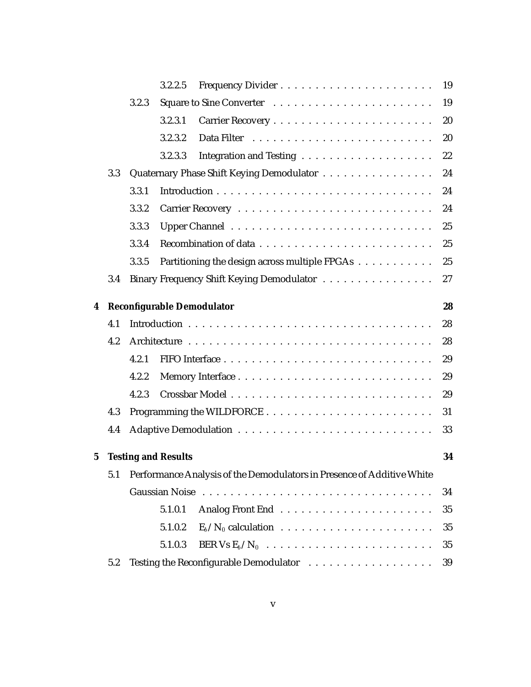|             |     |       | 3.2.2.5                    |                                                                        | 19 |
|-------------|-----|-------|----------------------------|------------------------------------------------------------------------|----|
|             |     | 3.2.3 |                            |                                                                        | 19 |
|             |     |       | 3.2.3.1                    |                                                                        | 20 |
|             |     |       | 3.2.3.2                    | Data Filter                                                            | 20 |
|             |     |       | 3.2.3.3                    |                                                                        | 22 |
|             | 3.3 |       |                            | Quaternary Phase Shift Keying Demodulator                              | 24 |
|             |     | 3.3.1 |                            |                                                                        | 24 |
|             |     | 3.3.2 |                            |                                                                        | 24 |
|             |     | 3.3.3 |                            |                                                                        | 25 |
|             |     | 3.3.4 |                            |                                                                        | 25 |
|             |     | 3.3.5 |                            | Partitioning the design across multiple FPGAs                          | 25 |
|             | 3.4 |       |                            | Binary Frequency Shift Keying Demodulator                              | 27 |
|             |     |       |                            |                                                                        |    |
| 4           |     |       |                            | Reconfigurable Demodulator                                             | 28 |
|             | 4.1 |       |                            |                                                                        | 28 |
|             | 4.2 |       |                            |                                                                        | 28 |
|             |     | 4.2.1 |                            |                                                                        | 29 |
|             |     | 4.2.2 |                            |                                                                        | 29 |
|             |     | 4.2.3 |                            |                                                                        | 29 |
|             | 4.3 |       |                            |                                                                        | 31 |
|             | 4.4 |       |                            |                                                                        | 33 |
|             |     |       |                            |                                                                        |    |
| $\mathbf 5$ |     |       | <b>Testing and Results</b> |                                                                        | 34 |
|             | 5.1 |       |                            | Performance Analysis of the Demodulators in Presence of Additive White |    |
|             |     |       |                            |                                                                        | 34 |
|             |     |       | 5.1.0.1                    |                                                                        | 35 |
|             |     |       | 5.1.0.2                    |                                                                        | 35 |
|             |     |       | 5.1.0.3                    | BER Vs $E_b/N_0$                                                       | 35 |
|             | 5.2 |       |                            |                                                                        | 39 |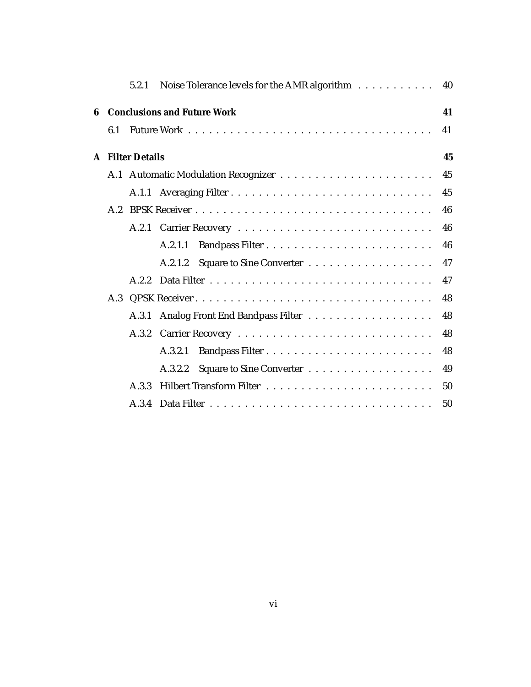|   |     |                         | 5.2.1 Noise Tolerance levels for the AMR algorithm $\dots \dots \dots$ | 40 |
|---|-----|-------------------------|------------------------------------------------------------------------|----|
| 6 |     |                         | <b>Conclusions and Future Work</b>                                     | 41 |
|   | 6.1 |                         |                                                                        | 41 |
|   |     | <b>A</b> Filter Details |                                                                        | 45 |
|   |     |                         |                                                                        | 45 |
|   |     |                         |                                                                        | 45 |
|   | A.2 |                         |                                                                        | 46 |
|   |     |                         |                                                                        | 46 |
|   |     |                         | A.2.1.1                                                                | 46 |
|   |     |                         | A.2.1.2                                                                | 47 |
|   |     | A.2.2                   |                                                                        | 47 |
|   |     |                         |                                                                        | 48 |
|   |     | A.3.1                   |                                                                        | 48 |
|   |     | A.3.2                   |                                                                        | 48 |
|   |     |                         | A.3.2.1                                                                | 48 |
|   |     |                         | A.3.2.2                                                                | 49 |
|   |     | A.3.3                   |                                                                        | 50 |
|   |     |                         |                                                                        | 50 |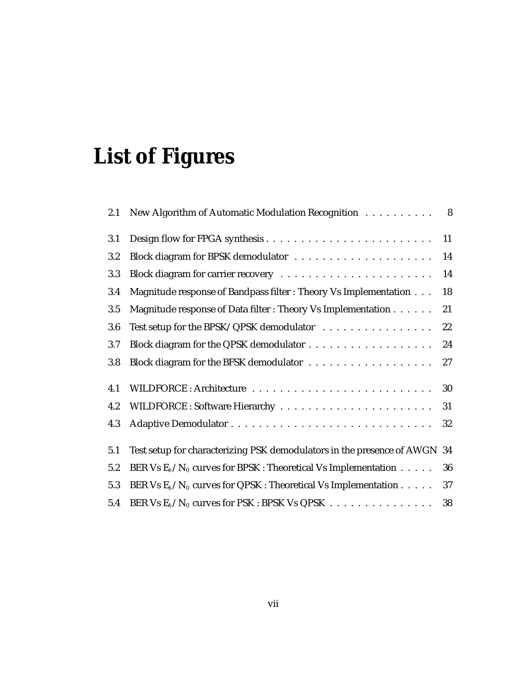# **List of Figures**

| 2.1 | New Algorithm of Automatic Modulation Recognition                         | $\overline{\mathbf{8}}$ |
|-----|---------------------------------------------------------------------------|-------------------------|
| 3.1 |                                                                           | 11                      |
| 3.2 |                                                                           | 14                      |
| 3.3 |                                                                           | 14                      |
| 3.4 | Magnitude response of Bandpass filter : Theory Vs Implementation          | 18                      |
| 3.5 | Magnitude response of Data filter : Theory Vs Implementation              | 21                      |
| 3.6 | Test setup for the BPSK/QPSK demodulator                                  | 22                      |
| 3.7 |                                                                           | 24                      |
| 3.8 |                                                                           | 27                      |
| 4.1 |                                                                           | 30                      |
| 4.2 |                                                                           | 31                      |
| 4.3 |                                                                           | 32                      |
| 5.1 | Test setup for characterizing PSK demodulators in the presence of AWGN 34 |                         |
| 5.2 | BER Vs $E_b/N_0$ curves for BPSK : Theoretical Vs Implementation          | 36                      |
| 5.3 | BER Vs $E_b/N_0$ curves for QPSK : Theoretical Vs Implementation          | 37                      |
| 5.4 | BER Vs $E_b/N_0$ curves for PSK : BPSK Vs QPSK                            | 38                      |
|     |                                                                           |                         |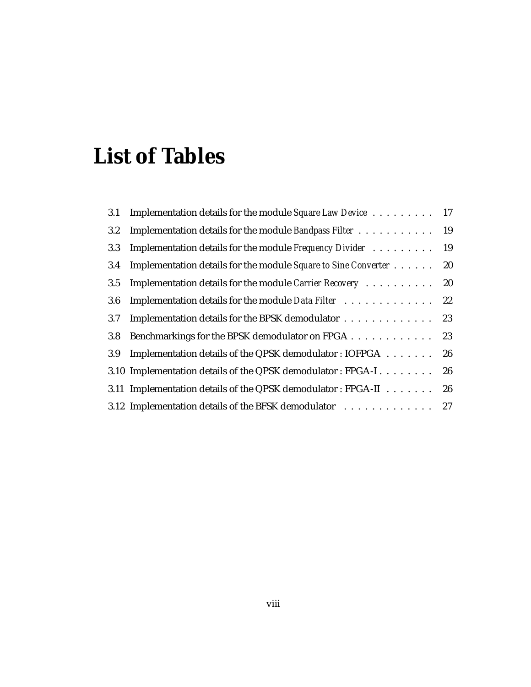# **List of Tables**

| 3.1     | Implementation details for the module Square Law Device 17     |    |
|---------|----------------------------------------------------------------|----|
| $3.2\,$ | Implementation details for the module Bandpass Filter          | 19 |
| 3.3     | Implementation details for the module Frequency Divider        | 19 |
| 3.4     | Implementation details for the module Square to Sine Converter | 20 |
| 3.5     | Implementation details for the module Carrier Recovery         | 20 |
| 3.6     | Implementation details for the module Data Filter              | 22 |
| 3.7     | Implementation details for the BPSK demodulator                | 23 |
| 3.8     | Benchmarkings for the BPSK demodulator on FPGA 23              |    |
| 3.9     | Implementation details of the QPSK demodulator: IOFPGA         | 26 |
|         | 3.10 Implementation details of the QPSK demodulator: FPGA-I    | 26 |
|         | 3.11 Implementation details of the QPSK demodulator: FPGA-II   | 26 |
|         | 3.12 Implementation details of the BFSK demodulator 27         |    |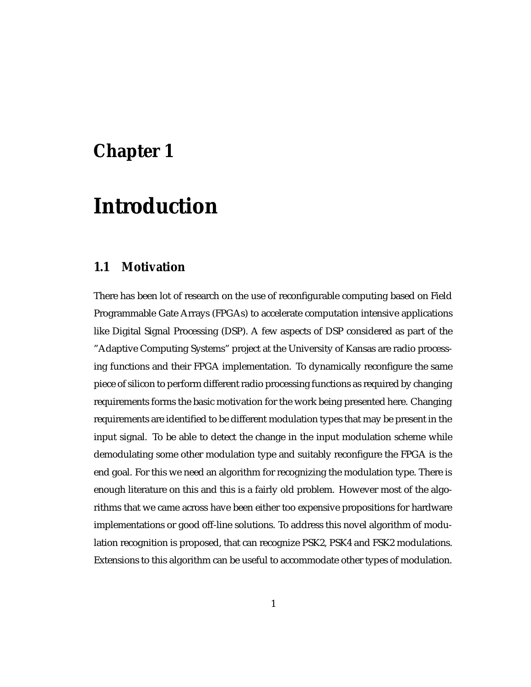# **Chapter 1**

# **Introduction**

### **1.1 Motivation**

There has been lot of research on the use of reconfigurable computing based on Field Programmable Gate Arrays (FPGAs) to accelerate computation intensive applications like Digital Signal Processing (DSP). A few aspects of DSP considered as part of the "Adaptive Computing Systems" project at the University of Kansas are radio processing functions and their FPGA implementation. To dynamically reconfigure the same piece of silicon to perform different radio processing functions as required by changing requirements forms the basic motivation for the work being presented here. Changing requirements are identified to be different modulation types that may be present in the input signal. To be able to detect the change in the input modulation scheme while demodulating some other modulation type and suitably reconfigure the FPGA is the end goal. For this we need an algorithm for recognizing the modulation type. There is enough literature on this and this is a fairly old problem. However most of the algorithms that we came across have been either too expensive propositions for hardware implementations or good off-line solutions. To address this novel algorithm of modulation recognition is proposed, that can recognize PSK2, PSK4 and FSK2 modulations. Extensions to this algorithm can be useful to accommodate other types of modulation.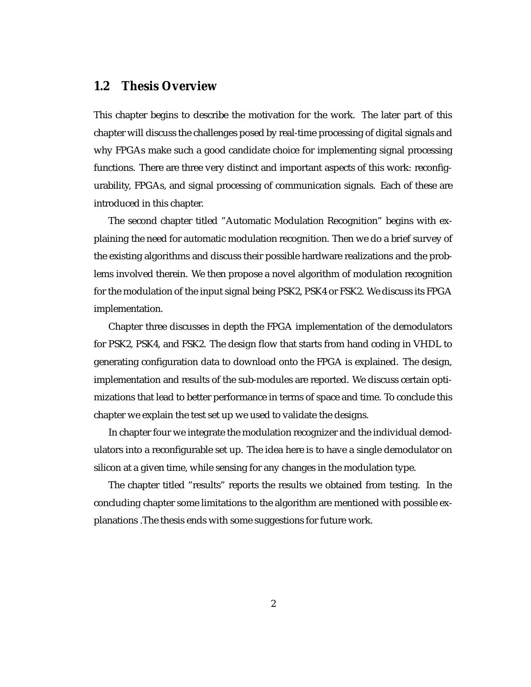### **1.2 Thesis Overview**

This chapter begins to describe the motivation for the work. The later part of this chapter will discuss the challenges posed by real-time processing of digital signals and why FPGAs make such a good candidate choice for implementing signal processing functions. There are three very distinct and important aspects of this work: reconfigurability, FPGAs, and signal processing of communication signals. Each of these are introduced in this chapter.

The second chapter titled "Automatic Modulation Recognition" begins with explaining the need for automatic modulation recognition. Then we do a brief survey of the existing algorithms and discuss their possible hardware realizations and the problems involved therein. We then propose a novel algorithm of modulation recognition for the modulation of the input signal being PSK2, PSK4 or FSK2. We discuss its FPGA implementation.

Chapter three discusses in depth the FPGA implementation of the demodulators for PSK2, PSK4, and FSK2. The design flow that starts from hand coding in VHDL to generating configuration data to download onto the FPGA is explained. The design, implementation and results of the sub-modules are reported. We discuss certain optimizations that lead to better performance in terms of space and time. To conclude this chapter we explain the test set up we used to validate the designs.

In chapter four we integrate the modulation recognizer and the individual demodulators into a reconfigurable set up. The idea here is to have a single demodulator on silicon at a given time, while sensing for any changes in the modulation type.

The chapter titled "results" reports the results we obtained from testing. In the concluding chapter some limitations to the algorithm are mentioned with possible explanations .The thesis ends with some suggestions for future work.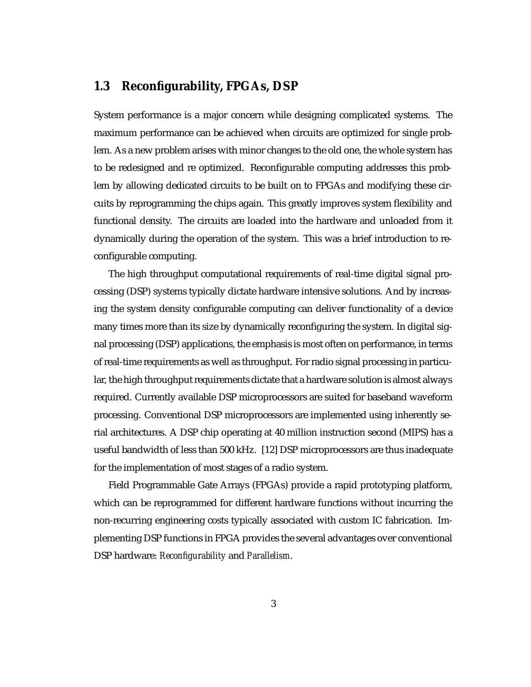### **1.3 Reconfigurability, FPGAs, DSP**

System performance is a major concern while designing complicated systems. The maximum performance can be achieved when circuits are optimized for single problem. As a new problem arises with minor changes to the old one, the whole system has to be redesigned and re optimized. Reconfigurable computing addresses this problem by allowing dedicated circuits to be built on to FPGAs and modifying these circuits by reprogramming the chips again. This greatly improves system flexibility and functional density. The circuits are loaded into the hardware and unloaded from it dynamically during the operation of the system. This was a brief introduction to reconfigurable computing.

The high throughput computational requirements of real-time digital signal processing (DSP) systems typically dictate hardware intensive solutions. And by increasing the system density configurable computing can deliver functionality of a device many times more than its size by dynamically reconfiguring the system. In digital signal processing (DSP) applications, the emphasis is most often on performance, in terms of real-time requirements as well as throughput. For radio signal processing in particular, the high throughput requirements dictate that a hardware solution is almost always required. Currently available DSP microprocessors are suited for baseband waveform processing. Conventional DSP microprocessors are implemented using inherently serial architectures. A DSP chip operating at 40 million instruction second (MIPS) has a useful bandwidth of less than 500 kHz. [12] DSP microprocessors are thus inadequate for the implementation of most stages of a radio system.

Field Programmable Gate Arrays (FPGAs) provide a rapid prototyping platform, which can be reprogrammed for different hardware functions without incurring the non-recurring engineering costs typically associated with custom IC fabrication. Implementing DSP functions in FPGA provides the several advantages over conventional DSP hardware: *Reconfigurability* and *Parallelism*.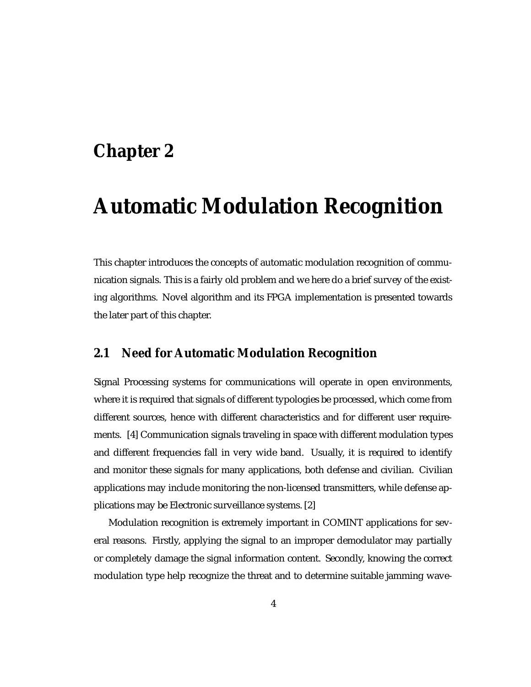# **Chapter 2**

# **Automatic Modulation Recognition**

This chapter introduces the concepts of automatic modulation recognition of communication signals. This is a fairly old problem and we here do a brief survey of the existing algorithms. Novel algorithm and its FPGA implementation is presented towards the later part of this chapter.

### **2.1 Need for Automatic Modulation Recognition**

Signal Processing systems for communications will operate in open environments, where it is required that signals of different typologies be processed, which come from different sources, hence with different characteristics and for different user requirements. [4] Communication signals traveling in space with different modulation types and different frequencies fall in very wide band. Usually, it is required to identify and monitor these signals for many applications, both defense and civilian. Civilian applications may include monitoring the non-licensed transmitters, while defense applications may be Electronic surveillance systems. [2]

Modulation recognition is extremely important in COMINT applications for several reasons. Firstly, applying the signal to an improper demodulator may partially or completely damage the signal information content. Secondly, knowing the correct modulation type help recognize the threat and to determine suitable jamming wave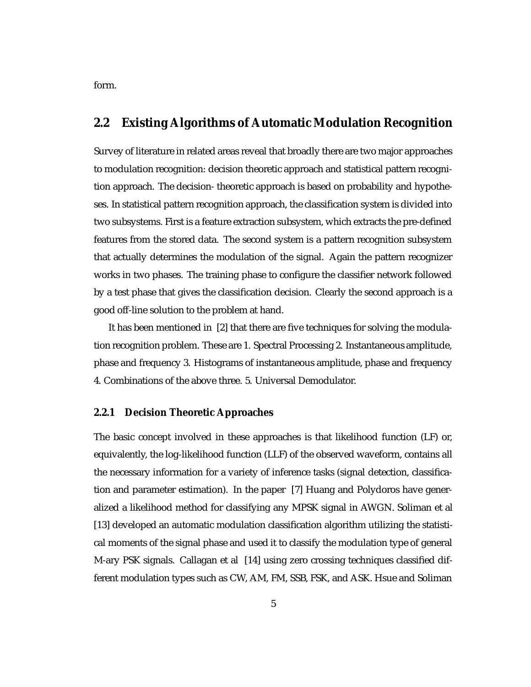form.

## **2.2 Existing Algorithms of Automatic Modulation Recognition**

Survey of literature in related areas reveal that broadly there are two major approaches to modulation recognition: decision theoretic approach and statistical pattern recognition approach. The decision- theoretic approach is based on probability and hypotheses. In statistical pattern recognition approach, the classification system is divided into two subsystems. First is a feature extraction subsystem, which extracts the pre-defined features from the stored data. The second system is a pattern recognition subsystem that actually determines the modulation of the signal. Again the pattern recognizer works in two phases. The training phase to configure the classifier network followed by a test phase that gives the classification decision. Clearly the second approach is a good off-line solution to the problem at hand.

It has been mentioned in [2] that there are five techniques for solving the modulation recognition problem. These are 1. Spectral Processing 2. Instantaneous amplitude, phase and frequency 3. Histograms of instantaneous amplitude, phase and frequency 4. Combinations of the above three. 5. Universal Demodulator.

#### **2.2.1 Decision Theoretic Approaches**

The basic concept involved in these approaches is that likelihood function (LF) or, equivalently, the log-likelihood function (LLF) of the observed waveform, contains all the necessary information for a variety of inference tasks (signal detection, classification and parameter estimation). In the paper [7] Huang and Polydoros have generalized a likelihood method for classifying any MPSK signal in AWGN. Soliman et al [13] developed an automatic modulation classification algorithm utilizing the statistical moments of the signal phase and used it to classify the modulation type of general M-ary PSK signals. Callagan et al [14] using zero crossing techniques classified different modulation types such as CW, AM, FM, SSB, FSK, and ASK. Hsue and Soliman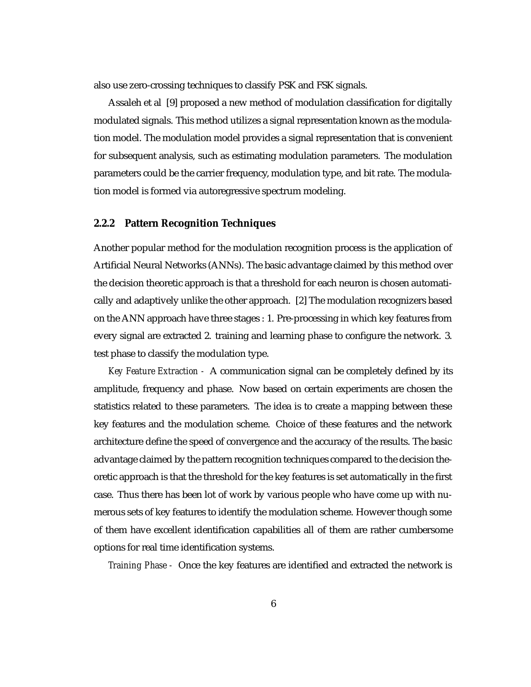also use zero-crossing techniques to classify PSK and FSK signals.

Assaleh et al [9] proposed a new method of modulation classification for digitally modulated signals. This method utilizes a signal representation known as the modulation model. The modulation model provides a signal representation that is convenient for subsequent analysis, such as estimating modulation parameters. The modulation parameters could be the carrier frequency, modulation type, and bit rate. The modulation model is formed via autoregressive spectrum modeling.

### **2.2.2 Pattern Recognition Techniques**

Another popular method for the modulation recognition process is the application of Artificial Neural Networks (ANNs). The basic advantage claimed by this method over the decision theoretic approach is that a threshold for each neuron is chosen automatically and adaptively unlike the other approach. [2] The modulation recognizers based on the ANN approach have three stages : 1. Pre-processing in which key features from every signal are extracted 2. training and learning phase to configure the network. 3. test phase to classify the modulation type.

*Key Feature Extraction -* A communication signal can be completely defined by its amplitude, frequency and phase. Now based on certain experiments are chosen the statistics related to these parameters. The idea is to create a mapping between these key features and the modulation scheme. Choice of these features and the network architecture define the speed of convergence and the accuracy of the results. The basic advantage claimed by the pattern recognition techniques compared to the decision theoretic approach is that the threshold for the key features is set automatically in the first case. Thus there has been lot of work by various people who have come up with numerous sets of key features to identify the modulation scheme. However though some of them have excellent identification capabilities all of them are rather cumbersome options for real time identification systems.

*Training Phase -* Once the key features are identified and extracted the network is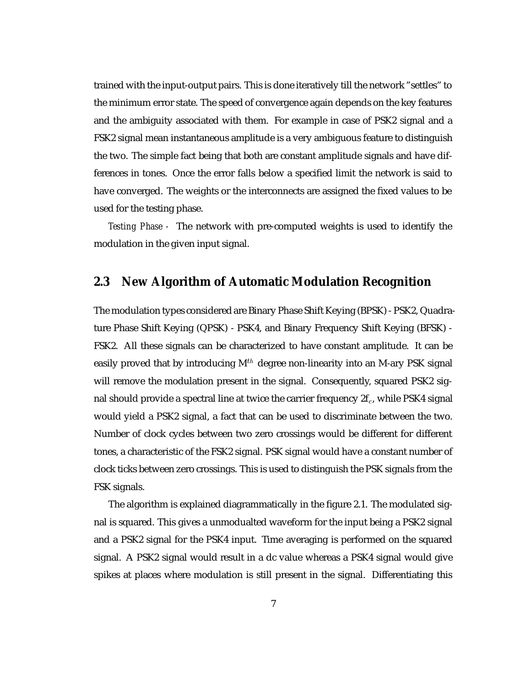trained with the input-output pairs. This is done iteratively till the network "settles" to the minimum error state. The speed of convergence again depends on the key features and the ambiguity associated with them. For example in case of PSK2 signal and a FSK2 signal mean instantaneous amplitude is a very ambiguous feature to distinguish the two. The simple fact being that both are constant amplitude signals and have differences in tones. Once the error falls below a specified limit the network is said to have converged. The weights or the interconnects are assigned the fixed values to be used for the testing phase.

*Testing Phase -* The network with pre-computed weights is used to identify the modulation in the given input signal.

### **2.3 New Algorithm of Automatic Modulation Recognition**

The modulation types considered are Binary Phase Shift Keying (BPSK) - PSK2, Quadrature Phase Shift Keying (QPSK) - PSK4, and Binary Frequency Shift Keying (BFSK) - FSK2. All these signals can be characterized to have constant amplitude. It can be easily proved that by introducing  $M<sup>th</sup>$  degree non-linearity into an M-ary PSK signal will remove the modulation present in the signal. Consequently, squared PSK2 signal should provide a spectral line at twice the carrier frequency  $2f_c$ , while PSK4 signal would yield a PSK2 signal, a fact that can be used to discriminate between the two. Number of clock cycles between two zero crossings would be different for different tones, a characteristic of the FSK2 signal. PSK signal would have a constant number of clock ticks between zero crossings. This is used to distinguish the PSK signals from the FSK signals.

The algorithm is explained diagrammatically in the figure 2.1. The modulated signal is squared. This gives a unmodualted waveform for the input being a PSK2 signal and a PSK2 signal for the PSK4 input. Time averaging is performed on the squared signal. A PSK2 signal would result in a dc value whereas a PSK4 signal would give spikes at places where modulation is still present in the signal. Differentiating this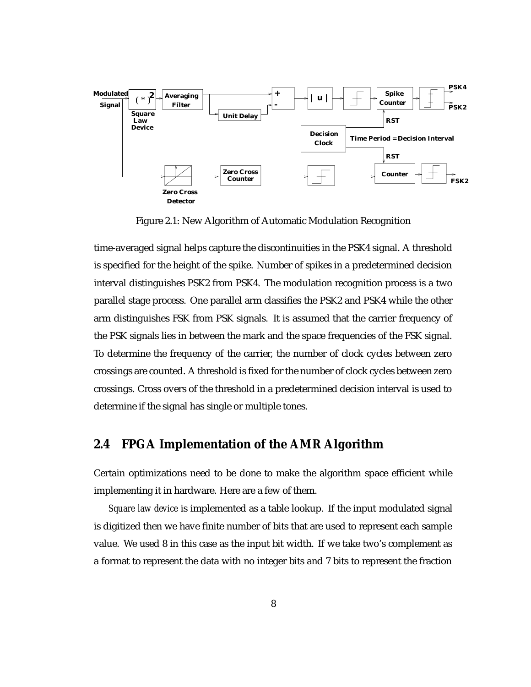

Figure 2.1: New Algorithm of Automatic Modulation Recognition

time-averaged signal helps capture the discontinuities in the PSK4 signal. A threshold is specified for the height of the spike. Number of spikes in a predetermined decision interval distinguishes PSK2 from PSK4. The modulation recognition process is a two parallel stage process. One parallel arm classifies the PSK2 and PSK4 while the other arm distinguishes FSK from PSK signals. It is assumed that the carrier frequency of the PSK signals lies in between the mark and the space frequencies of the FSK signal. To determine the frequency of the carrier, the number of clock cycles between zero crossings are counted. A threshold is fixed for the number of clock cycles between zero crossings. Cross overs of the threshold in a predetermined decision interval is used to determine if the signal has single or multiple tones.

### **2.4 FPGA Implementation of the AMR Algorithm**

Certain optimizations need to be done to make the algorithm space efficient while implementing it in hardware. Here are a few of them.

*Square law device* is implemented as a table lookup. If the input modulated signal is digitized then we have finite number of bits that are used to represent each sample value. We used 8 in this case as the input bit width. If we take two's complement as a format to represent the data with no integer bits and 7 bits to represent the fraction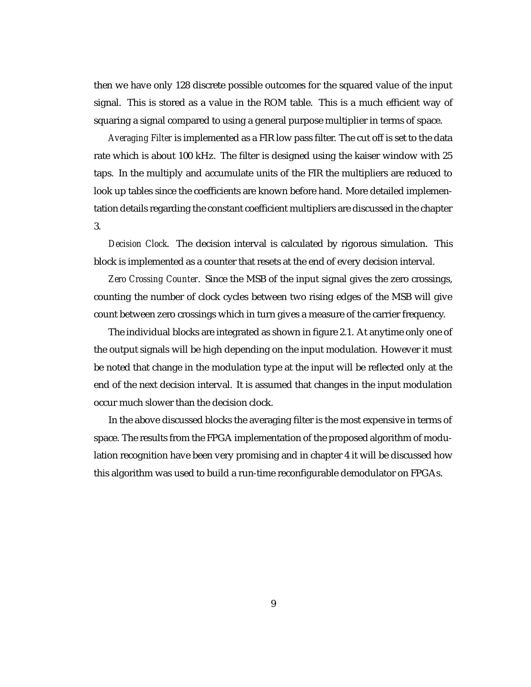then we have only 128 discrete possible outcomes for the squared value of the input signal. This is stored as a value in the ROM table. This is a much efficient way of squaring a signal compared to using a general purpose multiplier in terms of space.

*Averaging Filter* is implemented as a FIR low pass filter. The cut off is set to the data rate which is about 100 kHz. The filter is designed using the kaiser window with 25 taps. In the multiply and accumulate units of the FIR the multipliers are reduced to look up tables since the coefficients are known before hand. More detailed implementation details regarding the constant coefficient multipliers are discussed in the chapter 3.

*Decision Clock*. The decision interval is calculated by rigorous simulation. This block is implemented as a counter that resets at the end of every decision interval.

*Zero Crossing Counter*. Since the MSB of the input signal gives the zero crossings, counting the number of clock cycles between two rising edges of the MSB will give count between zero crossings which in turn gives a measure of the carrier frequency.

The individual blocks are integrated as shown in figure 2.1. At anytime only one of the output signals will be high depending on the input modulation. However it must be noted that change in the modulation type at the input will be reflected only at the end of the next decision interval. It is assumed that changes in the input modulation occur much slower than the decision clock.

In the above discussed blocks the averaging filter is the most expensive in terms of space. The results from the FPGA implementation of the proposed algorithm of modulation recognition have been very promising and in chapter 4 it will be discussed how this algorithm was used to build a run-time reconfigurable demodulator on FPGAs.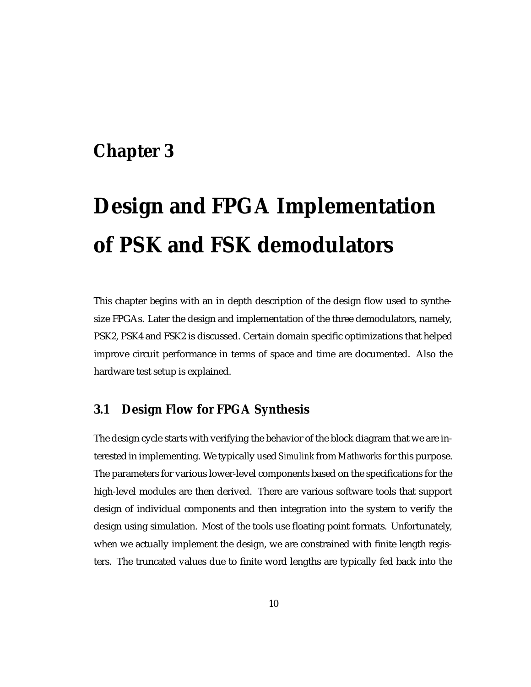# **Chapter 3**

# **Design and FPGA Implementation of PSK and FSK demodulators**

This chapter begins with an in depth description of the design flow used to synthesize FPGAs. Later the design and implementation of the three demodulators, namely, PSK2, PSK4 and FSK2 is discussed. Certain domain specific optimizations that helped improve circuit performance in terms of space and time are documented. Also the hardware test setup is explained.

# **3.1 Design Flow for FPGA Synthesis**

The design cycle starts with verifying the behavior of the block diagram that we are interested in implementing. We typically used *Simulink* from *Mathworks* for this purpose. The parameters for various lower-level components based on the specifications for the high-level modules are then derived. There are various software tools that support design of individual components and then integration into the system to verify the design using simulation. Most of the tools use floating point formats. Unfortunately, when we actually implement the design, we are constrained with finite length registers. The truncated values due to finite word lengths are typically fed back into the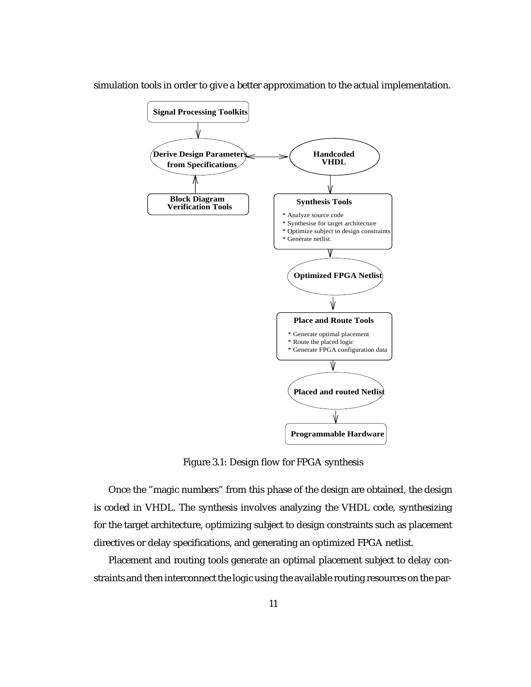

simulation tools in order to give a better approximation to the actual implementation.

Figure 3.1: Design flow for FPGA synthesis

Once the "magic numbers" from this phase of the design are obtained, the design is coded in VHDL. The synthesis involves analyzing the VHDL code, synthesizing for the target architecture, optimizing subject to design constraints such as placement directives or delay specifications, and generating an optimized FPGA netlist.

Placement and routing tools generate an optimal placement subject to delay constraints and then interconnect the logic using the available routing resources on the par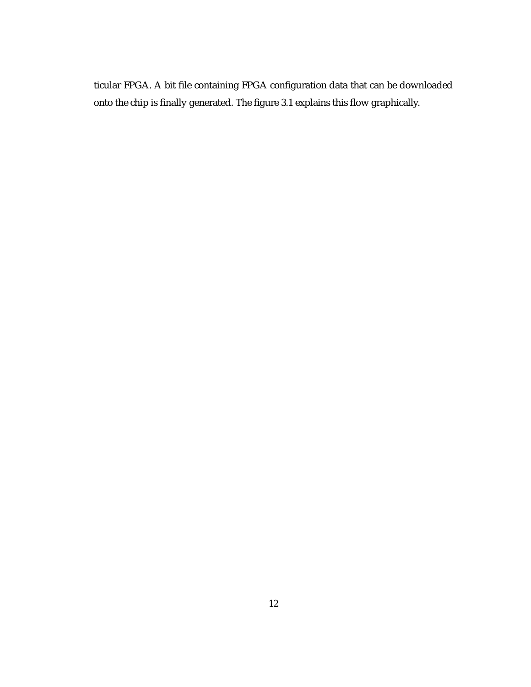ticular FPGA. A bit file containing FPGA configuration data that can be downloaded onto the chip is finally generated. The figure 3.1 explains this flow graphically.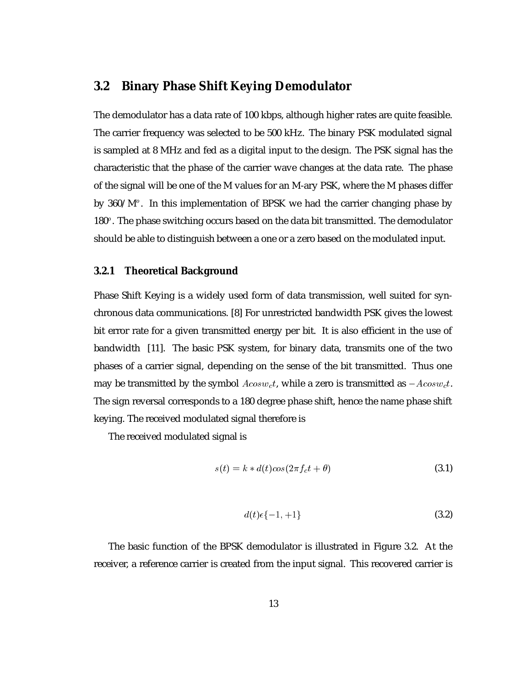### **3.2 Binary Phase Shift Keying Demodulator**

The demodulator has a data rate of 100 kbps, although higher rates are quite feasible. The carrier frequency was selected to be 500 kHz. The binary PSK modulated signal is sampled at 8 MHz and fed as a digital input to the design. The PSK signal has the characteristic that the phase of the carrier wave changes at the data rate. The phase of the signal will be one of the M values for an M-ary PSK, where the M phases differ by 360/M $^o$ . In this implementation of BPSK we had the carrier changing phase by  $180^o$ . The phase switching occurs based on the data bit transmitted. The demodulator should be able to distinguish between a one or a zero based on the modulated input.

### **3.2.1 Theoretical Background**

Phase Shift Keying is a widely used form of data transmission, well suited for synchronous data communications. [8] For unrestricted bandwidth PSK gives the lowest bit error rate for a given transmitted energy per bit. It is also efficient in the use of bandwidth [11]. The basic PSK system, for binary data, transmits one of the two phases of a carrier signal, depending on the sense of the bit transmitted. Thus one may be transmitted by the symbol  $Acosw_ct$ , while a zero is transmitted as  $-Acosw_ct$ . The sign reversal corresponds to a 180 degree phase shift, hence the name phase shift keying. The received modulated signal therefore is

The received modulated signal is

$$
s(t) = k * d(t)\cos(2\pi f_c t + \theta)
$$
\n(3.1)

$$
d(t)\epsilon\{-1,+1\} \tag{3.2}
$$

The basic function of the BPSK demodulator is illustrated in Figure 3.2. At the receiver, a reference carrier is created from the input signal. This recovered carrier is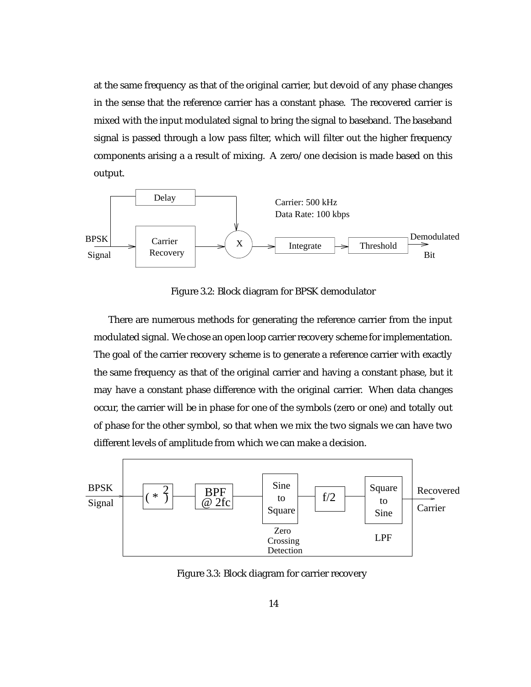at the same frequency as that of the original carrier, but devoid of any phase changes in the sense that the reference carrier has a constant phase. The recovered carrier is mixed with the input modulated signal to bring the signal to baseband. The baseband signal is passed through a low pass filter, which will filter out the higher frequency components arising a a result of mixing. A zero/one decision is made based on this output.



Figure 3.2: Block diagram for BPSK demodulator

There are numerous methods for generating the reference carrier from the input modulated signal. We chose an open loop carrier recovery scheme for implementation. The goal of the carrier recovery scheme is to generate a reference carrier with exactly the same frequency as that of the original carrier and having a constant phase, but it may have a constant phase difference with the original carrier. When data changes occur, the carrier will be in phase for one of the symbols (zero or one) and totally out of phase for the other symbol, so that when we mix the two signals we can have two different levels of amplitude from which we can make a decision.



Figure 3.3: Block diagram for carrier recovery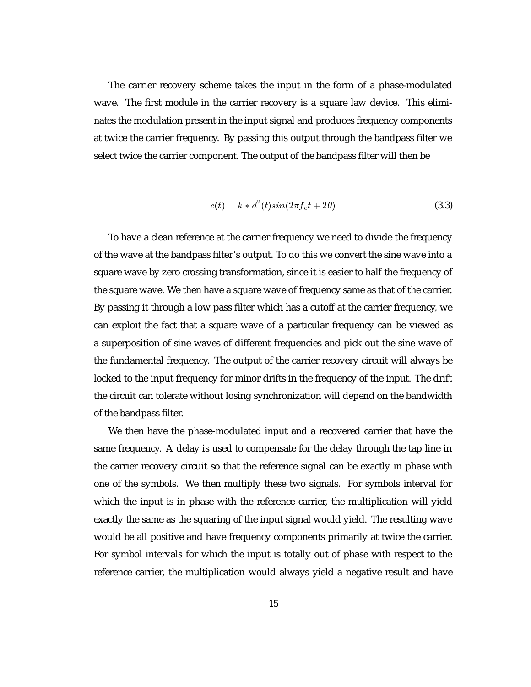The carrier recovery scheme takes the input in the form of a phase-modulated wave. The first module in the carrier recovery is a square law device. This eliminates the modulation present in the input signal and produces frequency components at twice the carrier frequency. By passing this output through the bandpass filter we select twice the carrier component. The output of the bandpass filter will then be

$$
c(t) = k * d2(t) sin(2\pi f_c t + 2\theta)
$$
\n(3.3)

To have a clean reference at the carrier frequency we need to divide the frequency of the wave at the bandpass filter's output. To do this we convert the sine wave into a square wave by zero crossing transformation, since it is easier to half the frequency of the square wave. We then have a square wave of frequency same as that of the carrier. By passing it through a low pass filter which has a cutoff at the carrier frequency, we can exploit the fact that a square wave of a particular frequency can be viewed as a superposition of sine waves of different frequencies and pick out the sine wave of the fundamental frequency. The output of the carrier recovery circuit will always be locked to the input frequency for minor drifts in the frequency of the input. The drift the circuit can tolerate without losing synchronization will depend on the bandwidth of the bandpass filter.

We then have the phase-modulated input and a recovered carrier that have the same frequency. A delay is used to compensate for the delay through the tap line in the carrier recovery circuit so that the reference signal can be exactly in phase with one of the symbols. We then multiply these two signals. For symbols interval for which the input is in phase with the reference carrier, the multiplication will yield exactly the same as the squaring of the input signal would yield. The resulting wave would be all positive and have frequency components primarily at twice the carrier. For symbol intervals for which the input is totally out of phase with respect to the reference carrier, the multiplication would always yield a negative result and have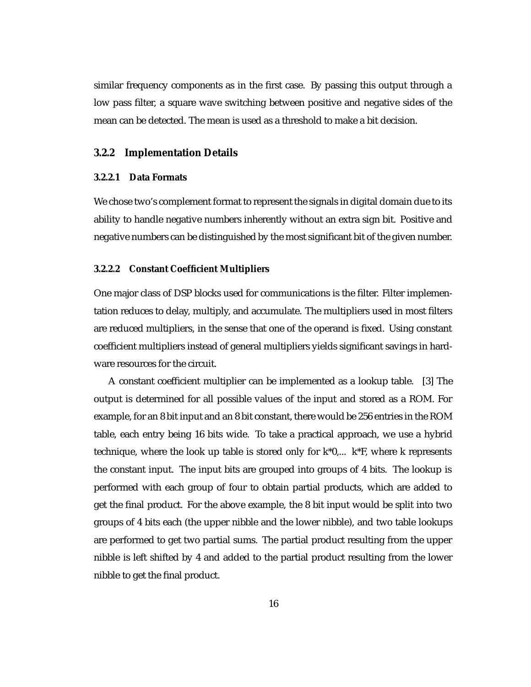similar frequency components as in the first case. By passing this output through a low pass filter, a square wave switching between positive and negative sides of the mean can be detected. The mean is used as a threshold to make a bit decision.

#### **3.2.2 Implementation Details**

#### **3.2.2.1 Data Formats**

We chose two's complement format to represent the signals in digital domain due to its ability to handle negative numbers inherently without an extra sign bit. Positive and negative numbers can be distinguished by the most significant bit of the given number.

#### **3.2.2.2 Constant Coefficient Multipliers**

One major class of DSP blocks used for communications is the filter. Filter implementation reduces to delay, multiply, and accumulate. The multipliers used in most filters are reduced multipliers, in the sense that one of the operand is fixed. Using constant coefficient multipliers instead of general multipliers yields significant savings in hardware resources for the circuit.

A constant coefficient multiplier can be implemented as a lookup table. [3] The output is determined for all possible values of the input and stored as a ROM. For example, for an 8 bit input and an 8 bit constant, there would be 256 entries in the ROM table, each entry being 16 bits wide. To take a practical approach, we use a hybrid technique, where the look up table is stored only for  $k*0,... k*F$ , where k represents the constant input. The input bits are grouped into groups of 4 bits. The lookup is performed with each group of four to obtain partial products, which are added to get the final product. For the above example, the 8 bit input would be split into two groups of 4 bits each (the upper nibble and the lower nibble), and two table lookups are performed to get two partial sums. The partial product resulting from the upper nibble is left shifted by 4 and added to the partial product resulting from the lower nibble to get the final product.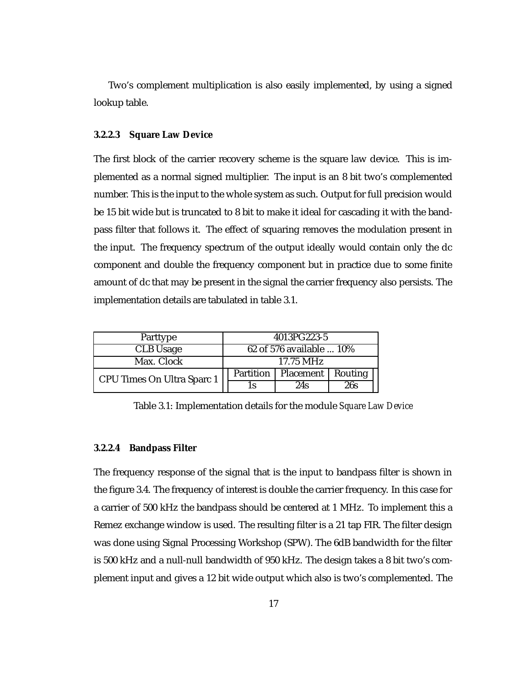Two's complement multiplication is also easily implemented, by using a signed lookup table.

#### **3.2.2.3 Square Law Device**

The first block of the carrier recovery scheme is the square law device. This is implemented as a normal signed multiplier. The input is an 8 bit two's complemented number. This is the input to the whole system as such. Output for full precision would be 15 bit wide but is truncated to 8 bit to make it ideal for cascading it with the bandpass filter that follows it. The effect of squaring removes the modulation present in the input. The frequency spectrum of the output ideally would contain only the dc component and double the frequency component but in practice due to some finite amount of dc that may be present in the signal the carrier frequency also persists. The implementation details are tabulated in table 3.1.

| Parttype                   | 4013PG223-5              |           |         |
|----------------------------|--------------------------|-----------|---------|
| <b>CLB</b> Usage           | 62 of 576 available  10% |           |         |
| Max. Clock                 | 17.75 MHz                |           |         |
| CPU Times On Ultra Sparc 1 | Partition                | Placement | Routing |
|                            | 1s                       | 24s       | 26s     |

Table 3.1: Implementation details for the module *Square Law Device*

#### **3.2.2.4 Bandpass Filter**

The frequency response of the signal that is the input to bandpass filter is shown in the figure 3.4. The frequency of interest is double the carrier frequency. In this case for a carrier of 500 kHz the bandpass should be centered at 1 MHz. To implement this a Remez exchange window is used. The resulting filter is a 21 tap FIR. The filter design was done using Signal Processing Workshop (SPW). The 6dB bandwidth for the filter is 500 kHz and a null-null bandwidth of 950 kHz. The design takes a 8 bit two's complement input and gives a 12 bit wide output which also is two's complemented. The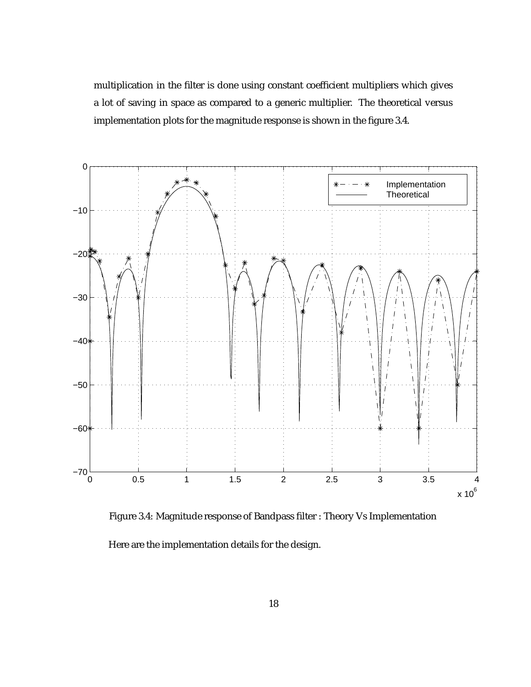multiplication in the filter is done using constant coefficient multipliers which gives a lot of saving in space as compared to a generic multiplier. The theoretical versus implementation plots for the magnitude response is shown in the figure 3.4.



Figure 3.4: Magnitude response of Bandpass filter : Theory Vs Implementation Here are the implementation details for the design.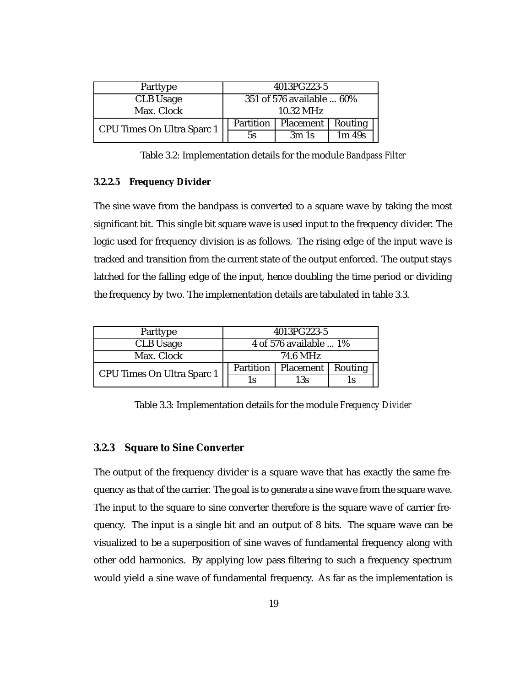| Parttype                   |           | 4013PG223-5               |          |  |
|----------------------------|-----------|---------------------------|----------|--|
| CLB Usage                  |           | 351 of 576 available  60% |          |  |
| Max. Clock                 |           | 10.32 MHz                 |          |  |
| CPU Times On Ultra Sparc 1 | Partition | Placement                 | Routing  |  |
|                            | 5s        | 3m1s                      | $1m$ 49s |  |

Table 3.2: Implementation details for the module *Bandpass Filter*

#### **3.2.2.5 Frequency Divider**

The sine wave from the bandpass is converted to a square wave by taking the most significant bit. This single bit square wave is used input to the frequency divider. The logic used for frequency division is as follows. The rising edge of the input wave is tracked and transition from the current state of the output enforced. The output stays latched for the falling edge of the input, hence doubling the time period or dividing the frequency by two. The implementation details are tabulated in table 3.3.

| Parttype                   | 4013PG223-5            |                     |    |
|----------------------------|------------------------|---------------------|----|
| <b>CLB</b> Usage           | 4 of 576 available  1% |                     |    |
| Max. Clock                 | 74.6 MHz               |                     |    |
| CPU Times On Ultra Sparc 1 | Partition              | Placement   Routing |    |
|                            | 1٢                     | 13s                 | ıс |

Table 3.3: Implementation details for the module *Frequency Divider*

### **3.2.3 Square to Sine Converter**

The output of the frequency divider is a square wave that has exactly the same frequency as that of the carrier. The goal is to generate a sine wave from the square wave. The input to the square to sine converter therefore is the square wave of carrier frequency. The input is a single bit and an output of 8 bits. The square wave can be visualized to be a superposition of sine waves of fundamental frequency along with other odd harmonics. By applying low pass filtering to such a frequency spectrum would yield a sine wave of fundamental frequency. As far as the implementation is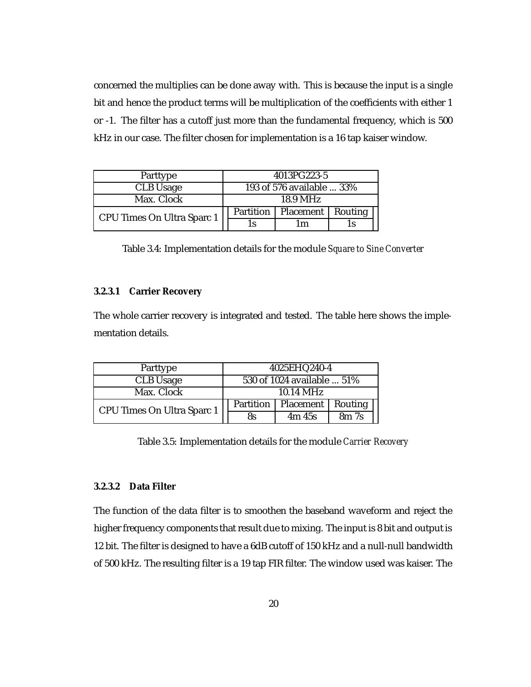concerned the multiplies can be done away with. This is because the input is a single bit and hence the product terms will be multiplication of the coefficients with either 1 or -1. The filter has a cutoff just more than the fundamental frequency, which is 500 kHz in our case. The filter chosen for implementation is a 16 tap kaiser window.

| Parttype                   | 4013PG223-5               |           |         |
|----------------------------|---------------------------|-----------|---------|
| <b>CLB</b> Usage           | 193 of 576 available  33% |           |         |
| Max. Clock<br>18.9 MHz     |                           |           |         |
| CPU Times On Ultra Sparc 1 | Partition                 | Placement | Routing |
|                            | 1s                        | m         | l S     |

Table 3.4: Implementation details for the module *Square to Sine Converter*

#### **3.2.3.1 Carrier Recovery**

The whole carrier recovery is integrated and tested. The table here shows the implementation details.

| Parttype                   | 4025EHQ240-4               |                  |                  |
|----------------------------|----------------------------|------------------|------------------|
| CLB Usage                  | 530 of 1024 available  51% |                  |                  |
| Max. Clock                 | $10.14 \text{ MHz}$        |                  |                  |
| CPU Times On Ultra Sparc 1 | Partition                  | <b>Placement</b> | Routing          |
|                            | <b>8s</b>                  | 4m/45s           | 8m <sub>7s</sub> |

Table 3.5: Implementation details for the module *Carrier Recovery*

### **3.2.3.2 Data Filter**

The function of the data filter is to smoothen the baseband waveform and reject the higher frequency components that result due to mixing. The input is 8 bit and output is 12 bit. The filter is designed to have a 6dB cutoff of 150 kHz and a null-null bandwidth of 500 kHz. The resulting filter is a 19 tap FIR filter. The window used was kaiser. The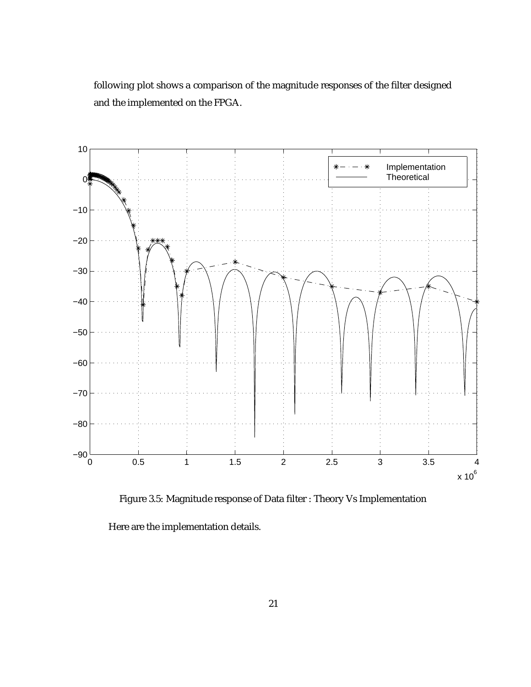following plot shows a comparison of the magnitude responses of the filter designed and the implemented on the FPGA.



Figure 3.5: Magnitude response of Data filter : Theory Vs Implementation

Here are the implementation details.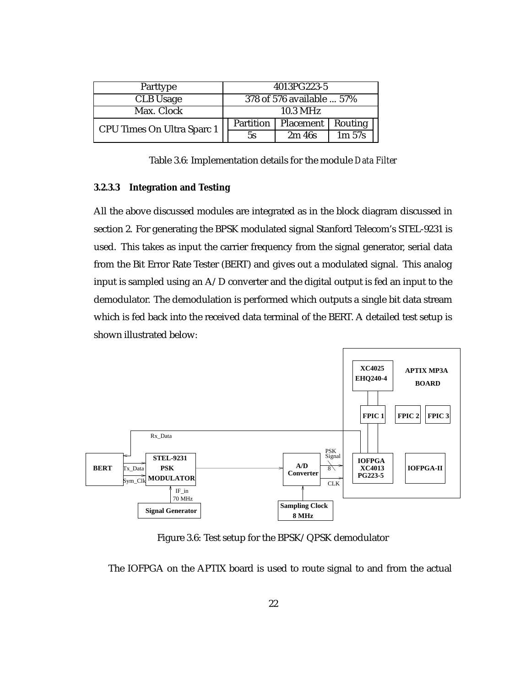| Parttype                   | 4013PG223-5               |           |           |  |
|----------------------------|---------------------------|-----------|-----------|--|
| CLB Usage                  | 378 of 576 available  57% |           |           |  |
| Max. Clock                 |                           | 10.3 MHz  |           |  |
| CPU Times On Ultra Sparc 1 | Partition                 | Placement | Routing   |  |
|                            | 5s                        | 2m/46s    | $1m\,57s$ |  |

Table 3.6: Implementation details for the module *Data Filter*

#### **3.2.3.3 Integration and Testing**

All the above discussed modules are integrated as in the block diagram discussed in section 2. For generating the BPSK modulated signal Stanford Telecom's STEL-9231 is used. This takes as input the carrier frequency from the signal generator, serial data from the Bit Error Rate Tester (BERT) and gives out a modulated signal. This analog input is sampled using an A/D converter and the digital output is fed an input to the demodulator. The demodulation is performed which outputs a single bit data stream which is fed back into the received data terminal of the BERT. A detailed test setup is shown illustrated below:



Figure 3.6: Test setup for the BPSK/QPSK demodulator

The IOFPGA on the APTIX board is used to route signal to and from the actual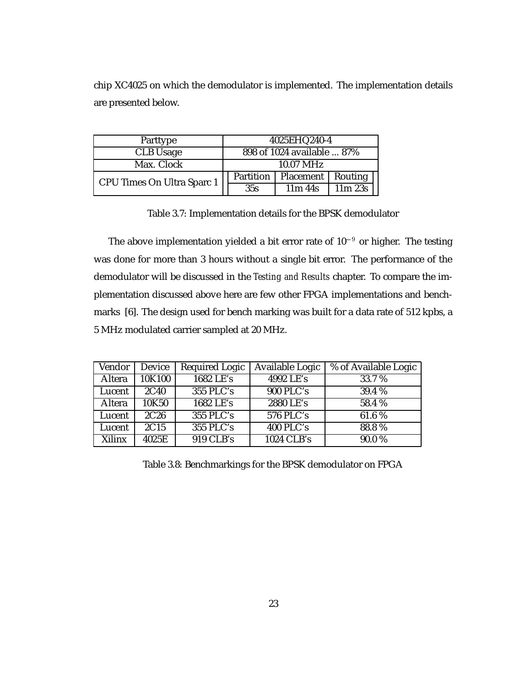chip XC4025 on which the demodulator is implemented. The implementation details are presented below.

| Parttype                   | 4025EHQ240-4 |                            |        |
|----------------------------|--------------|----------------------------|--------|
| <b>CLB</b> Usage           |              | 898 of 1024 available  87% |        |
| Max. Clock                 |              | 10.07 MHz                  |        |
| CPU Times On Ultra Sparc 1 | Partition    | Placement   Routing        |        |
|                            | 35s          | $11m$ 44s                  | 11m23s |

Table 3.7: Implementation details for the BPSK demodulator

The above implementation yielded a bit error rate of  $10^{-9}$  or higher. The testing was done for more than 3 hours without a single bit error. The performance of the demodulator will be discussed in the *Testing and Results* chapter. To compare the implementation discussed above here are few other FPGA implementations and benchmarks [6]. The design used for bench marking was built for a data rate of 512 kpbs, a 5 MHz modulated carrier sampled at 20 MHz.

| Vendor | Device | <b>Required Logic</b> | Available Logic  | % of Available Logic |
|--------|--------|-----------------------|------------------|----------------------|
| Altera | 10K100 | 1682 LE's             | 4992 LE's        | 33.7%                |
| Lucent | 2C40   | 355 PLC's             | <b>900 PLC's</b> | 39.4 %               |
| Altera | 10K50  | 1682 LE's             | 2880 LE's        | 58.4%                |
| Lucent | 2C26   | 355 PLC's             | $576$ PLC's      | 61.6%                |
| Lucent | 2C15   | 355 PLC's             | 400 PLC's        | 88.8%                |
| Xilinx | 4025E  | 919 CLB's             | 1024 CLB's       | 90.0%                |

Table 3.8: Benchmarkings for the BPSK demodulator on FPGA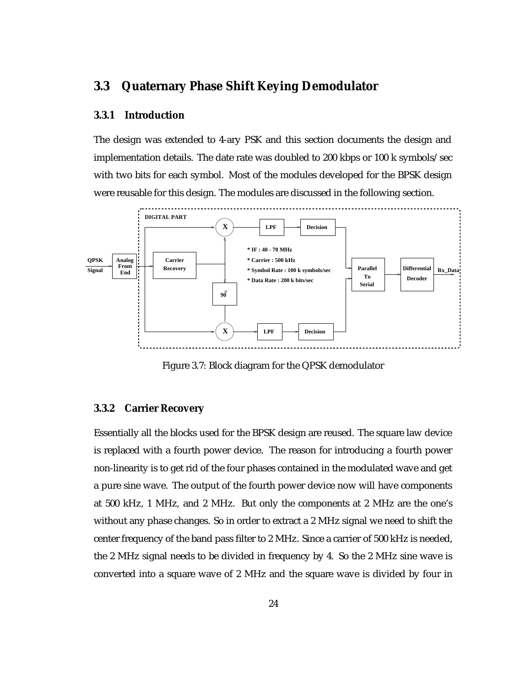### **3.3 Quaternary Phase Shift Keying Demodulator**

### **3.3.1 Introduction**

The design was extended to 4-ary PSK and this section documents the design and implementation details. The date rate was doubled to 200 kbps or 100 k symbols/sec with two bits for each symbol. Most of the modules developed for the BPSK design were reusable for this design. The modules are discussed in the following section.



Figure 3.7: Block diagram for the QPSK demodulator

#### **3.3.2 Carrier Recovery**

Essentially all the blocks used for the BPSK design are reused. The square law device is replaced with a fourth power device. The reason for introducing a fourth power non-linearity is to get rid of the four phases contained in the modulated wave and get a pure sine wave. The output of the fourth power device now will have components at 500 kHz, 1 MHz, and 2 MHz. But only the components at 2 MHz are the one's without any phase changes. So in order to extract a 2 MHz signal we need to shift the center frequency of the band pass filter to 2 MHz. Since a carrier of 500 kHz is needed, the 2 MHz signal needs to be divided in frequency by 4. So the 2 MHz sine wave is converted into a square wave of 2 MHz and the square wave is divided by four in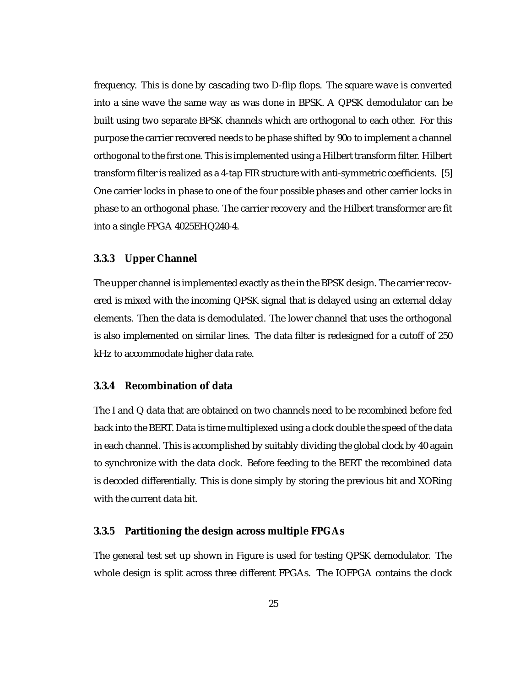frequency. This is done by cascading two D-flip flops. The square wave is converted into a sine wave the same way as was done in BPSK. A QPSK demodulator can be built using two separate BPSK channels which are orthogonal to each other. For this purpose the carrier recovered needs to be phase shifted by 90o to implement a channel orthogonal to the first one. This is implemented using a Hilbert transform filter. Hilbert transform filter is realized as a 4-tap FIR structure with anti-symmetric coefficients. [5] One carrier locks in phase to one of the four possible phases and other carrier locks in phase to an orthogonal phase. The carrier recovery and the Hilbert transformer are fit into a single FPGA 4025EHQ240-4.

#### **3.3.3 Upper Channel**

The upper channel is implemented exactly as the in the BPSK design. The carrier recovered is mixed with the incoming QPSK signal that is delayed using an external delay elements. Then the data is demodulated. The lower channel that uses the orthogonal is also implemented on similar lines. The data filter is redesigned for a cutoff of 250 kHz to accommodate higher data rate.

### **3.3.4 Recombination of data**

The I and Q data that are obtained on two channels need to be recombined before fed back into the BERT. Data is time multiplexed using a clock double the speed of the data in each channel. This is accomplished by suitably dividing the global clock by 40 again to synchronize with the data clock. Before feeding to the BERT the recombined data is decoded differentially. This is done simply by storing the previous bit and XORing with the current data bit.

#### **3.3.5 Partitioning the design across multiple FPGAs**

The general test set up shown in Figure is used for testing QPSK demodulator. The whole design is split across three different FPGAs. The IOFPGA contains the clock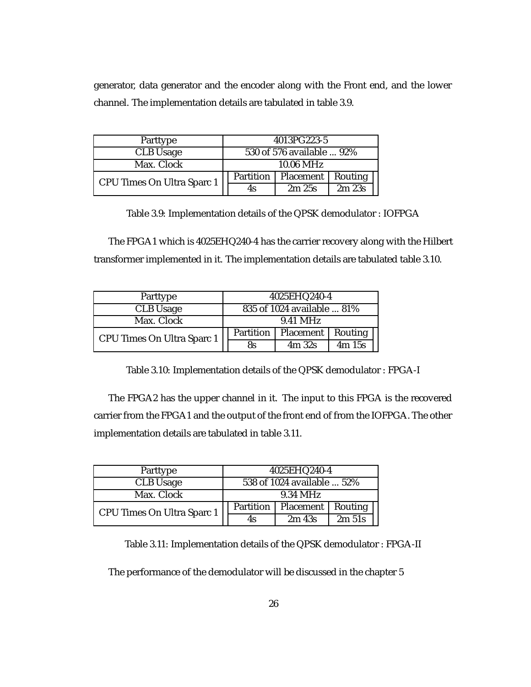generator, data generator and the encoder along with the Front end, and the lower channel. The implementation details are tabulated in table 3.9.

| Parttype                   | 4013PG223-5               |                     |       |
|----------------------------|---------------------------|---------------------|-------|
| <b>CLB</b> Usage           | 530 of 576 available  92% |                     |       |
| Max. Clock                 | 10.06 MHz                 |                     |       |
| CPU Times On Ultra Sparc 1 | Partition                 | Placement   Routing |       |
|                            | 4s                        | 2m25s               | 2m23s |

Table 3.9: Implementation details of the QPSK demodulator : IOFPGA

The FPGA1 which is 4025EHQ240-4 has the carrier recovery along with the Hilbert transformer implemented in it. The implementation details are tabulated table 3.10.

| Parttype                   | 4025EHQ240-4               |                  |         |
|----------------------------|----------------------------|------------------|---------|
| <b>CLB</b> Usage           | 835 of 1024 available  81% |                  |         |
| Max. Clock                 | 9.41 MHz                   |                  |         |
| CPU Times On Ultra Sparc 1 | Partition                  | <b>Placement</b> | Routing |
|                            | <b>8s</b>                  | 4m32s            | 4m 15s  |

Table 3.10: Implementation details of the QPSK demodulator : FPGA-I

The FPGA2 has the upper channel in it. The input to this FPGA is the recovered carrier from the FPGA1 and the output of the front end of from the IOFPGA. The other implementation details are tabulated in table 3.11.

| Parttype                   | 4025EHQ240-4               |                   |                   |
|----------------------------|----------------------------|-------------------|-------------------|
| CLB Usage                  | 538 of 1024 available  52% |                   |                   |
| Max. Clock                 | 9.34 MHz                   |                   |                   |
| CPU Times On Ultra Sparc 1 | Partition                  | Placement         | Routing           |
|                            | 4s                         | 2m <sub>43s</sub> | 2m <sub>51s</sub> |

Table 3.11: Implementation details of the QPSK demodulator : FPGA-II

The performance of the demodulator will be discussed in the chapter 5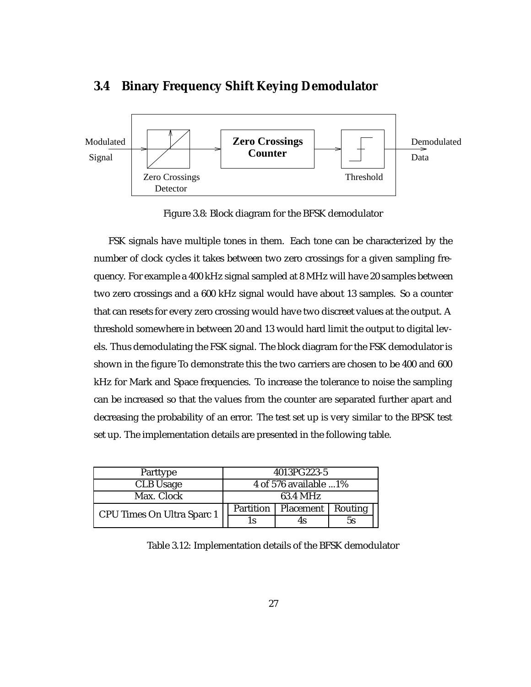

### **3.4 Binary Frequency Shift Keying Demodulator**

Figure 3.8: Block diagram for the BFSK demodulator

FSK signals have multiple tones in them. Each tone can be characterized by the number of clock cycles it takes between two zero crossings for a given sampling frequency. For example a 400 kHz signal sampled at 8 MHz will have 20 samples between two zero crossings and a 600 kHz signal would have about 13 samples. So a counter that can resets for every zero crossing would have two discreet values at the output. A threshold somewhere in between 20 and 13 would hard limit the output to digital levels. Thus demodulating the FSK signal. The block diagram for the FSK demodulator is shown in the figure To demonstrate this the two carriers are chosen to be 400 and 600 kHz for Mark and Space frequencies. To increase the tolerance to noise the sampling can be increased so that the values from the counter are separated further apart and decreasing the probability of an error. The test set up is very similar to the BPSK test set up. The implementation details are presented in the following table.

| Parttype                   | 4013PG223-5           |                     |    |
|----------------------------|-----------------------|---------------------|----|
| <b>CLB</b> Usage           | 4 of 576 available 1% |                     |    |
| Max. Clock                 | 63.4 MHz              |                     |    |
| CPU Times On Ultra Sparc 1 | Partition             | Placement   Routing |    |
|                            | ΙS                    |                     | 5s |

Table 3.12: Implementation details of the BFSK demodulator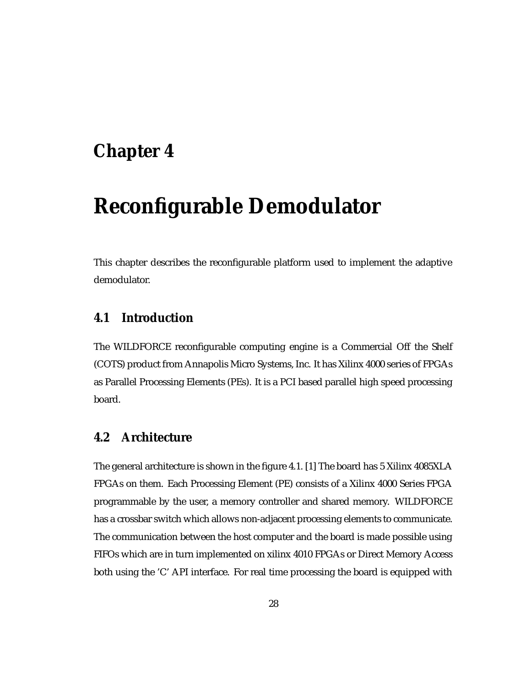# **Chapter 4**

# **Reconfigurable Demodulator**

This chapter describes the reconfigurable platform used to implement the adaptive demodulator.

### **4.1 Introduction**

The WILDFORCE reconfigurable computing engine is a Commercial Off the Shelf (COTS) product from Annapolis Micro Systems, Inc. It has Xilinx 4000 series of FPGAs as Parallel Processing Elements (PEs). It is a PCI based parallel high speed processing board.

## **4.2 Architecture**

The general architecture is shown in the figure 4.1. [1] The board has 5 Xilinx 4085XLA FPGAs on them. Each Processing Element (PE) consists of a Xilinx 4000 Series FPGA programmable by the user, a memory controller and shared memory. WILDFORCE has a crossbar switch which allows non-adjacent processing elements to communicate. The communication between the host computer and the board is made possible using FIFOs which are in turn implemented on xilinx 4010 FPGAs or Direct Memory Access both using the 'C' API interface. For real time processing the board is equipped with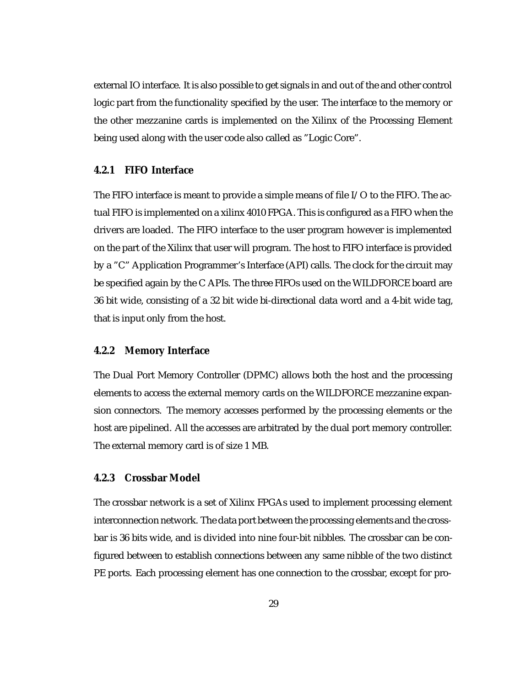external IO interface. It is also possible to get signals in and out of the and other control logic part from the functionality specified by the user. The interface to the memory or the other mezzanine cards is implemented on the Xilinx of the Processing Element being used along with the user code also called as "Logic Core".

#### **4.2.1 FIFO Interface**

The FIFO interface is meant to provide a simple means of file I/O to the FIFO. The actual FIFO is implemented on a xilinx 4010 FPGA. This is configured as a FIFO when the drivers are loaded. The FIFO interface to the user program however is implemented on the part of the Xilinx that user will program. The host to FIFO interface is provided by a "C" Application Programmer's Interface (API) calls. The clock for the circuit may be specified again by the C APIs. The three FIFOs used on the WILDFORCE board are 36 bit wide, consisting of a 32 bit wide bi-directional data word and a 4-bit wide tag, that is input only from the host.

#### **4.2.2 Memory Interface**

The Dual Port Memory Controller (DPMC) allows both the host and the processing elements to access the external memory cards on the WILDFORCE mezzanine expansion connectors. The memory accesses performed by the processing elements or the host are pipelined. All the accesses are arbitrated by the dual port memory controller. The external memory card is of size 1 MB.

### **4.2.3 Crossbar Model**

The crossbar network is a set of Xilinx FPGAs used to implement processing element interconnection network. The data port between the processing elements and the crossbar is 36 bits wide, and is divided into nine four-bit nibbles. The crossbar can be configured between to establish connections between any same nibble of the two distinct PE ports. Each processing element has one connection to the crossbar, except for pro-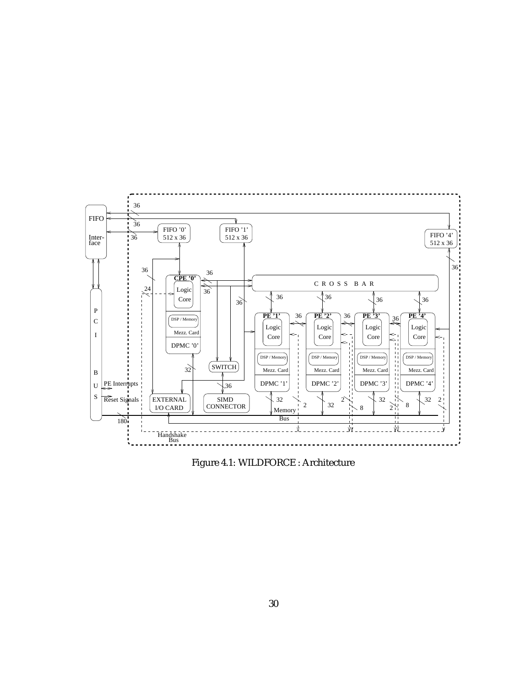

Figure 4.1: WILDFORCE : Architecture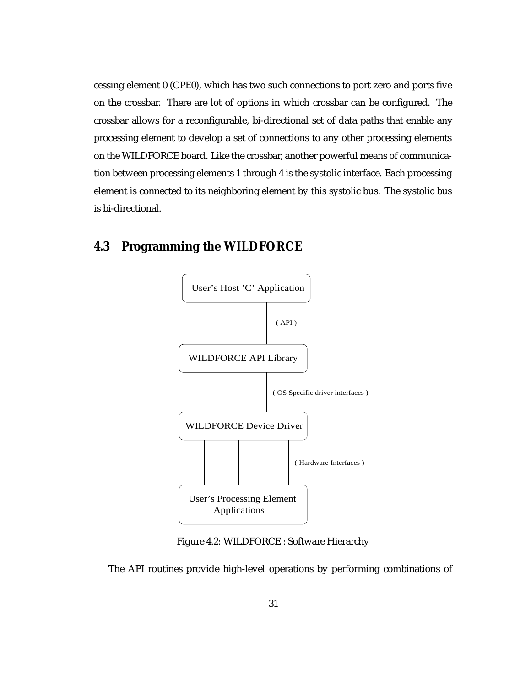cessing element 0 (CPE0), which has two such connections to port zero and ports five on the crossbar. There are lot of options in which crossbar can be configured. The crossbar allows for a reconfigurable, bi-directional set of data paths that enable any processing element to develop a set of connections to any other processing elements on the WILDFORCE board. Like the crossbar, another powerful means of communication between processing elements 1 through 4 is the systolic interface. Each processing element is connected to its neighboring element by this systolic bus. The systolic bus is bi-directional.

## **4.3 Programming the WILDFORCE**



Figure 4.2: WILDFORCE : Software Hierarchy

The API routines provide high-level operations by performing combinations of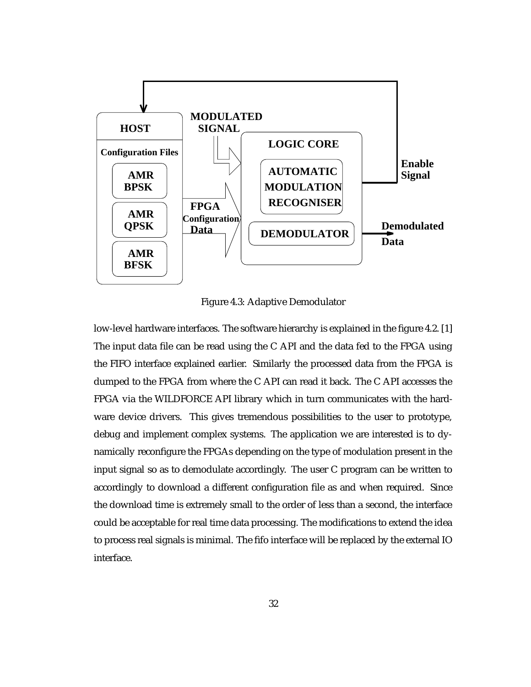

Figure 4.3: Adaptive Demodulator

low-level hardware interfaces. The software hierarchy is explained in the figure 4.2. [1] The input data file can be read using the C API and the data fed to the FPGA using the FIFO interface explained earlier. Similarly the processed data from the FPGA is dumped to the FPGA from where the C API can read it back. The C API accesses the FPGA via the WILDFORCE API library which in turn communicates with the hardware device drivers. This gives tremendous possibilities to the user to prototype, debug and implement complex systems. The application we are interested is to dynamically reconfigure the FPGAs depending on the type of modulation present in the input signal so as to demodulate accordingly. The user C program can be written to accordingly to download a different configuration file as and when required. Since the download time is extremely small to the order of less than a second, the interface could be acceptable for real time data processing. The modifications to extend the idea to process real signals is minimal. The fifo interface will be replaced by the external IO interface.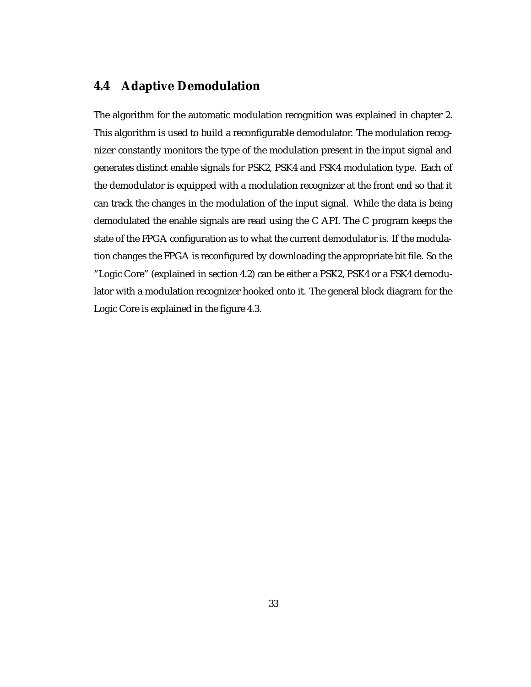# **4.4 Adaptive Demodulation**

The algorithm for the automatic modulation recognition was explained in chapter 2. This algorithm is used to build a reconfigurable demodulator. The modulation recognizer constantly monitors the type of the modulation present in the input signal and generates distinct enable signals for PSK2, PSK4 and FSK4 modulation type. Each of the demodulator is equipped with a modulation recognizer at the front end so that it can track the changes in the modulation of the input signal. While the data is being demodulated the enable signals are read using the C API. The C program keeps the state of the FPGA configuration as to what the current demodulator is. If the modulation changes the FPGA is reconfigured by downloading the appropriate bit file. So the "Logic Core" (explained in section 4.2) can be either a PSK2, PSK4 or a FSK4 demodulator with a modulation recognizer hooked onto it. The general block diagram for the Logic Core is explained in the figure 4.3.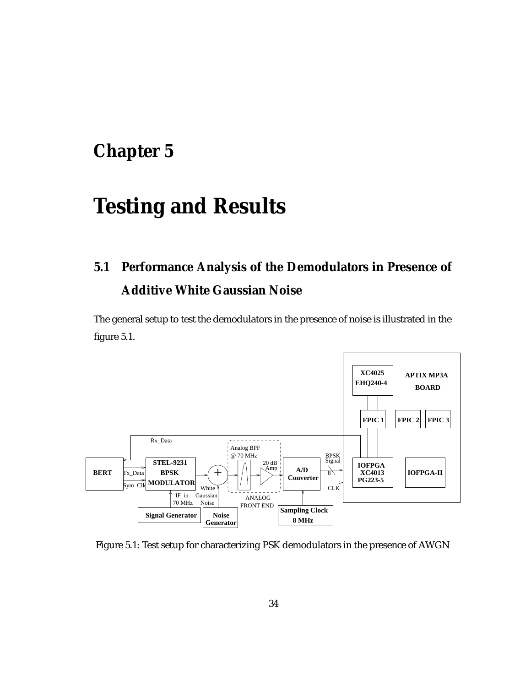# **Chapter 5**

# **Testing and Results**

# **5.1 Performance Analysis of the Demodulators in Presence of Additive White Gaussian Noise**

The general setup to test the demodulators in the presence of noise is illustrated in the figure 5.1.



Figure 5.1: Test setup for characterizing PSK demodulators in the presence of AWGN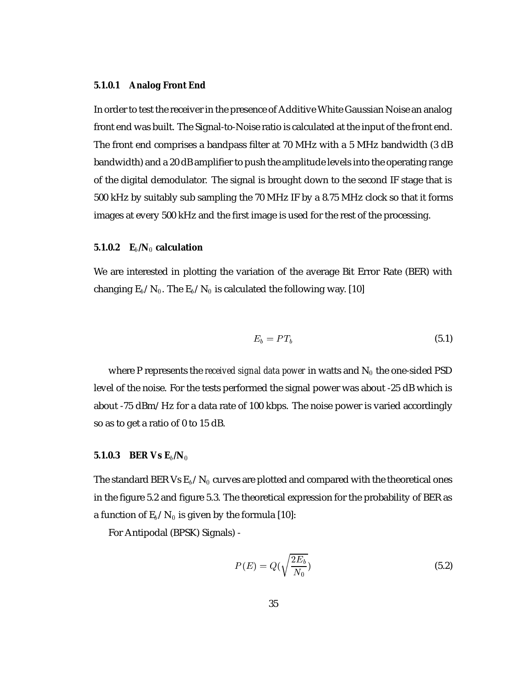#### **5.1.0.1 Analog Front End**

In order to test the receiver in the presence of Additive White Gaussian Noise an analog front end was built. The Signal-to-Noise ratio is calculated at the input of the front end. The front end comprises a bandpass filter at 70 MHz with a 5 MHz bandwidth (3 dB bandwidth) and a 20 dB amplifier to push the amplitude levels into the operating range of the digital demodulator. The signal is brought down to the second IF stage that is 500 kHz by suitably sub sampling the 70 MHz IF by a 8.75 MHz clock so that it forms images at every 500 kHz and the first image is used for the rest of the processing.

#### **5.1.0.2 E**b**/N**<sup>0</sup> **calculation**

We are interested in plotting the variation of the average Bit Error Rate (BER) with changing  $E_b/N_0$ . The  $E_b/N_0$  is calculated the following way. [10]

$$
E_b = PT_b \tag{5.1}
$$

where P represents the *received signal data power* in watts and  $N_0$  the one-sided PSD level of the noise. For the tests performed the signal power was about -25 dB which is about -75 dBm/Hz for a data rate of 100 kbps. The noise power is varied accordingly so as to get a ratio of 0 to 15 dB.

#### **5.1.0.3 BER Vs**  $E_b/N_0$

The standard BER Vs  $\mathrm{E}_b/\mathrm{N}_0$  curves are plotted and compared with the theoretical ones in the figure 5.2 and figure 5.3. The theoretical expression for the probability of BER as a function of  $E_b/N_0$  is given by the formula [10]:

For Antipodal (BPSK) Signals) -

$$
P(E) = Q\left(\sqrt{\frac{2E_b}{N_0}}\right) \tag{5.2}
$$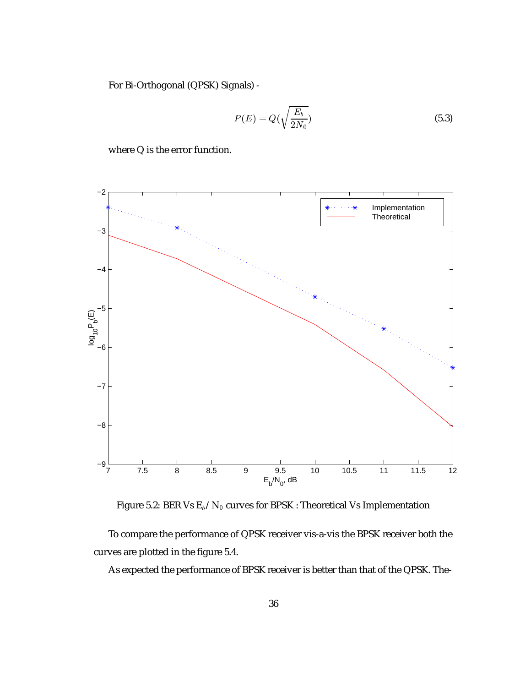For Bi-Orthogonal (QPSK) Signals) -

$$
P(E) = Q\left(\sqrt{\frac{E_b}{2N_0}}\right) \tag{5.3}
$$

where Q is the error function.



Figure 5.2: BER Vs  $E_b/N_0$  curves for BPSK : Theoretical Vs Implementation

To compare the performance of QPSK receiver vis-a-vis the BPSK receiver both the curves are plotted in the figure 5.4.

As expected the performance of BPSK receiver is better than that of the QPSK. The-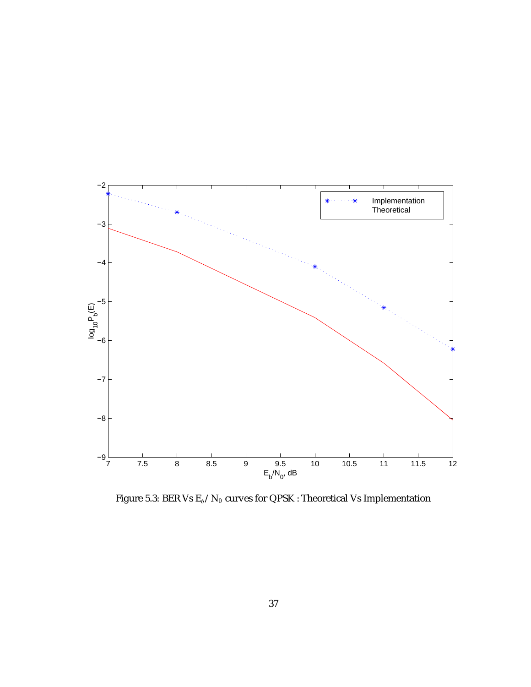

Figure 5.3: BER Vs  $\mathrm{E}_b/\mathrm{N}_0$  curves for QPSK : Theoretical Vs Implementation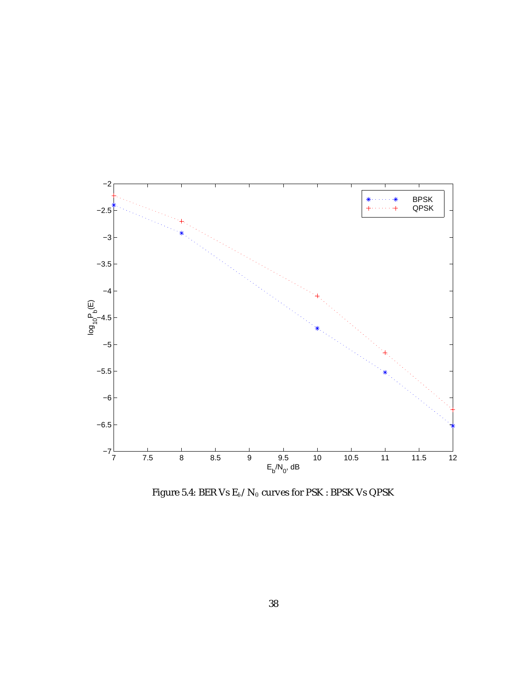

Figure 5.4: BER Vs  $\mathrm{E}_b/\mathrm{N}_0$  curves for PSK : BPSK Vs QPSK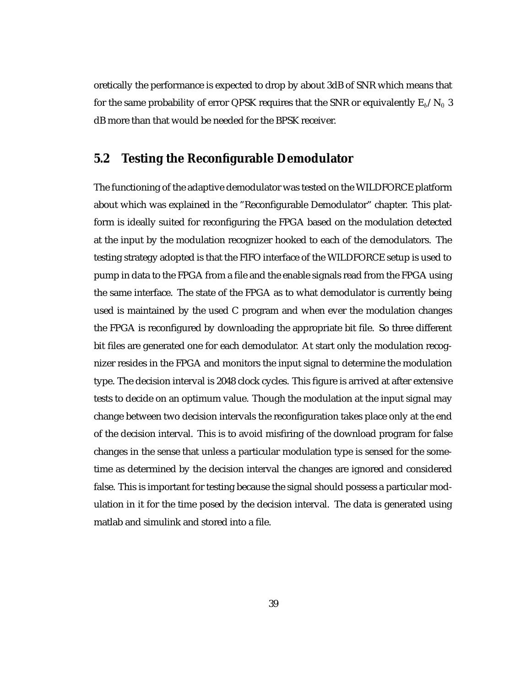oretically the performance is expected to drop by about 3dB of SNR which means that for the same probability of error QPSK requires that the SNR or equivalently  $E_b/N_0$  3 dB more than that would be needed for the BPSK receiver.

## **5.2 Testing the Reconfigurable Demodulator**

The functioning of the adaptive demodulator was tested on the WILDFORCE platform about which was explained in the "Reconfigurable Demodulator" chapter. This platform is ideally suited for reconfiguring the FPGA based on the modulation detected at the input by the modulation recognizer hooked to each of the demodulators. The testing strategy adopted is that the FIFO interface of the WILDFORCE setup is used to pump in data to the FPGA from a file and the enable signals read from the FPGA using the same interface. The state of the FPGA as to what demodulator is currently being used is maintained by the used C program and when ever the modulation changes the FPGA is reconfigured by downloading the appropriate bit file. So three different bit files are generated one for each demodulator. At start only the modulation recognizer resides in the FPGA and monitors the input signal to determine the modulation type. The decision interval is 2048 clock cycles. This figure is arrived at after extensive tests to decide on an optimum value. Though the modulation at the input signal may change between two decision intervals the reconfiguration takes place only at the end of the decision interval. This is to avoid misfiring of the download program for false changes in the sense that unless a particular modulation type is sensed for the sometime as determined by the decision interval the changes are ignored and considered false. This is important for testing because the signal should possess a particular modulation in it for the time posed by the decision interval. The data is generated using matlab and simulink and stored into a file.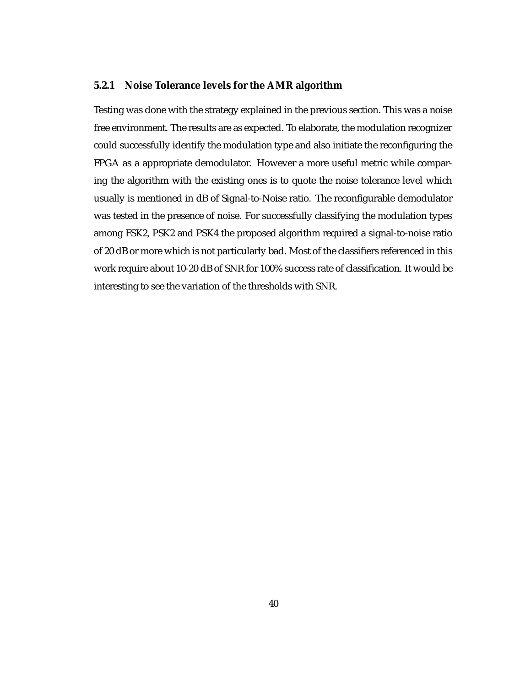#### **5.2.1 Noise Tolerance levels for the AMR algorithm**

Testing was done with the strategy explained in the previous section. This was a noise free environment. The results are as expected. To elaborate, the modulation recognizer could successfully identify the modulation type and also initiate the reconfiguring the FPGA as a appropriate demodulator. However a more useful metric while comparing the algorithm with the existing ones is to quote the noise tolerance level which usually is mentioned in dB of Signal-to-Noise ratio. The reconfigurable demodulator was tested in the presence of noise. For successfully classifying the modulation types among FSK2, PSK2 and PSK4 the proposed algorithm required a signal-to-noise ratio of 20 dB or more which is not particularly bad. Most of the classifiers referenced in this work require about 10-20 dB of SNR for 100% success rate of classification. It would be interesting to see the variation of the thresholds with SNR.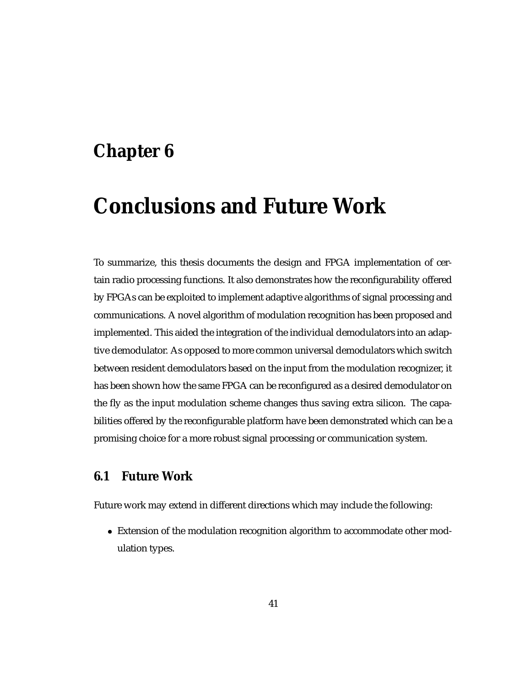# **Chapter 6**

# **Conclusions and Future Work**

To summarize, this thesis documents the design and FPGA implementation of certain radio processing functions. It also demonstrates how the reconfigurability offered by FPGAs can be exploited to implement adaptive algorithms of signal processing and communications. A novel algorithm of modulation recognition has been proposed and implemented. This aided the integration of the individual demodulators into an adaptive demodulator. As opposed to more common universal demodulators which switch between resident demodulators based on the input from the modulation recognizer, it has been shown how the same FPGA can be reconfigured as a desired demodulator on the fly as the input modulation scheme changes thus saving extra silicon. The capabilities offered by the reconfigurable platform have been demonstrated which can be a promising choice for a more robust signal processing or communication system.

### **6.1 Future Work**

Future work may extend in different directions which may include the following:

 Extension of the modulation recognition algorithm to accommodate other modulation types.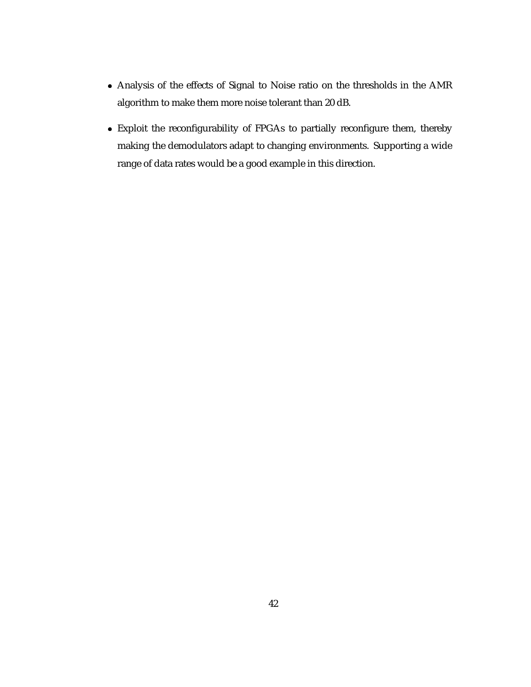- Analysis of the effects of Signal to Noise ratio on the thresholds in the AMR algorithm to make them more noise tolerant than 20 dB.
- Exploit the reconfigurability of FPGAs to partially reconfigure them, thereby making the demodulators adapt to changing environments. Supporting a wide range of data rates would be a good example in this direction.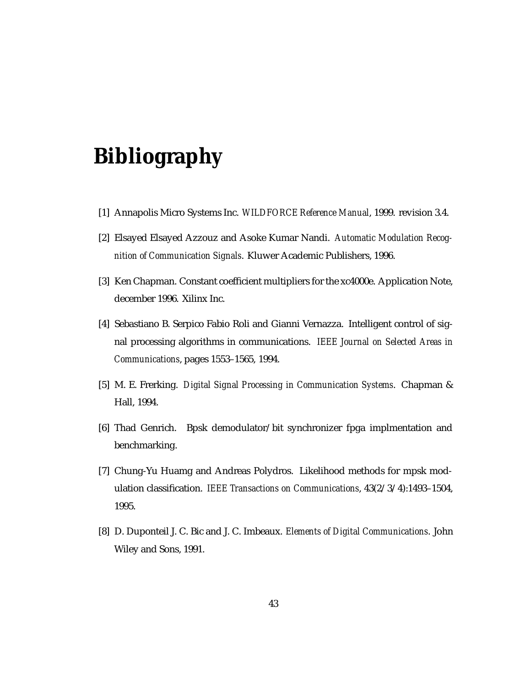# **Bibliography**

- [1] Annapolis Micro Systems Inc. *WILDFORCE Reference Manual*, 1999. revision 3.4.
- [2] Elsayed Elsayed Azzouz and Asoke Kumar Nandi. *Automatic Modulation Recognition of Communication Signals*. Kluwer Academic Publishers, 1996.
- [3] Ken Chapman. Constant coefficient multipliers for the xc4000e. Application Note, december 1996. Xilinx Inc.
- [4] Sebastiano B. Serpico Fabio Roli and Gianni Vernazza. Intelligent control of signal processing algorithms in communications. *IEEE Journal on Selected Areas in Communications*, pages 1553–1565, 1994.
- [5] M. E. Frerking. *Digital Signal Processing in Communication Systems*. Chapman & Hall, 1994.
- [6] Thad Genrich. Bpsk demodulator/bit synchronizer fpga implmentation and benchmarking.
- [7] Chung-Yu Huamg and Andreas Polydros. Likelihood methods for mpsk modulation classification. *IEEE Transactions on Communications*, 43(2/3/4):1493–1504, 1995.
- [8] D. Duponteil J. C. Bic and J. C. Imbeaux. *Elements of Digital Communications*. John Wiley and Sons, 1991.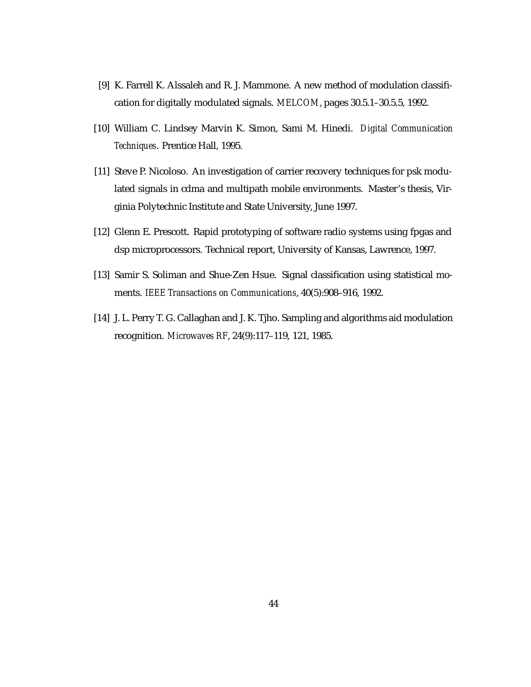- [9] K. Farrell K. Alssaleh and R. J. Mammone. A new method of modulation classification for digitally modulated signals. *MELCOM*, pages 30.5.1–30.5.5, 1992.
- [10] William C. Lindsey Marvin K. Simon, Sami M. Hinedi. *Digital Communication Techniques*. Prentice Hall, 1995.
- [11] Steve P. Nicoloso. An investigation of carrier recovery techniques for psk modulated signals in cdma and multipath mobile environments. Master's thesis, Virginia Polytechnic Institute and State University, June 1997.
- [12] Glenn E. Prescott. Rapid prototyping of software radio systems using fpgas and dsp microprocessors. Technical report, University of Kansas, Lawrence, 1997.
- [13] Samir S. Soliman and Shue-Zen Hsue. Signal classification using statistical moments. *IEEE Transactions on Communications*, 40(5):908–916, 1992.
- [14] J. L. Perry T. G. Callaghan and J. K. Tjho. Sampling and algorithms aid modulation recognition. *Microwaves RF*, 24(9):117–119, 121, 1985.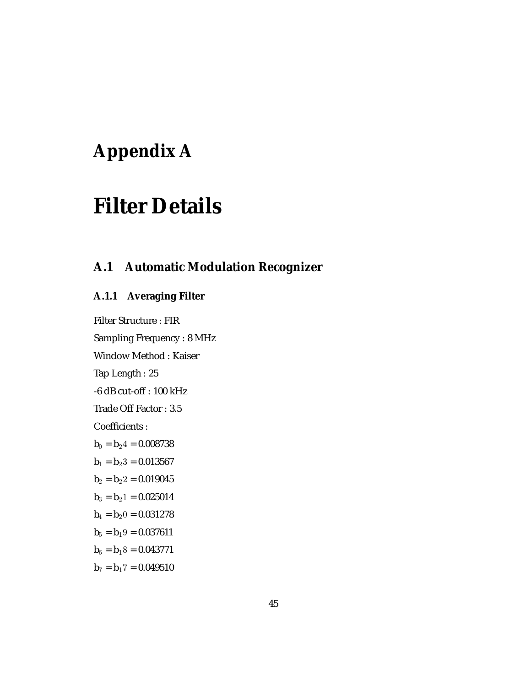# **Appendix A**

# **Filter Details**

# **A.1 Automatic Modulation Recognizer**

### **A.1.1 Averaging Filter**

Filter Structure : FIR Sampling Frequency : 8 MHz Window Method : Kaiser Tap Length : 25 -6 dB cut-off : 100 kHz Trade Off Factor : 3.5 Coefficients :  $\mathbf{b}_0 = \mathbf{b}_2$ 4 = 0.008738  $b_1 = b_23 = 0.013567$  $b_2 = b_22 = 0.019045$  $b_3 = b_21 = 0.025014$  $$  $b_5 = b_19 = 0.037611$  $b_6 = b_18 = 0.043771$  $$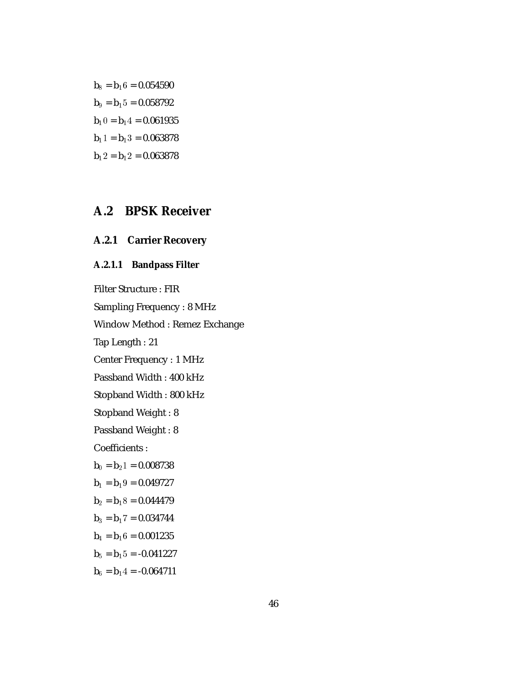$b_8 = b_16 = 0.054590$  $\mathbf{b}_9 = \mathbf{b}_15 = 0.058792$  $$  $$  $b_12 = b_12 = 0.063878$ 

# **A.2 BPSK Receiver**

### **A.2.1 Carrier Recovery**

### **A.2.1.1 Bandpass Filter**

Filter Structure : FIR

Sampling Frequency : 8 MHz

Window Method : Remez Exchange

Tap Length : 21

Center Frequency : 1 MHz

Passband Width : 400 kHz

Stopband Width : 800 kHz

Stopband Weight : 8

Passband Weight : 8

Coefficients :

$$
b_0 = b_2 1 = 0.008738
$$
  
\n
$$
b_1 = b_1 9 = 0.049727
$$
  
\n
$$
b_2 = b_1 8 = 0.044479
$$
  
\n
$$
b_3 = b_1 7 = 0.034744
$$
  
\n
$$
b_1 = b_1 6 = 0.001225
$$

$$
b_4 = b_1 6 = 0.001235
$$

 $b_5 = b_15 = -0.041227$ 

 $\mathbf{b}_6 = \mathbf{b}_14 = -0.064711$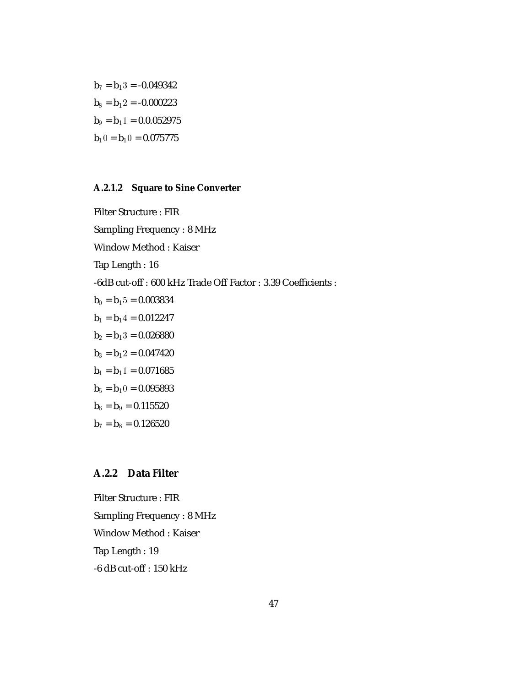$b_7 = b_13 = -0.049342$  $$  $\mathbf{b}_9 = \mathbf{b}_1 \mathbf{1} = 0.0.052975$  $$ 

### **A.2.1.2 Square to Sine Converter**

Filter Structure : FIR Sampling Frequency : 8 MHz Window Method : Kaiser Tap Length : 16 -6dB cut-off : 600 kHz Trade Off Factor : 3.39 Coefficients :  $b_0 = b_15 = 0.003834$  $\mathbf{b}_1 = \mathbf{b}_1 4 = 0.012247$  $b_2 = b_13 = 0.026880$  $b_3 = b_12 = 0.047420$  $b_4 = b_11 = 0.071685$  $$  $$  $b_7 = b_8 = 0.126520$ 

### **A.2.2 Data Filter**

Filter Structure : FIR Sampling Frequency : 8 MHz Window Method : Kaiser Tap Length : 19 -6 dB cut-off : 150 kHz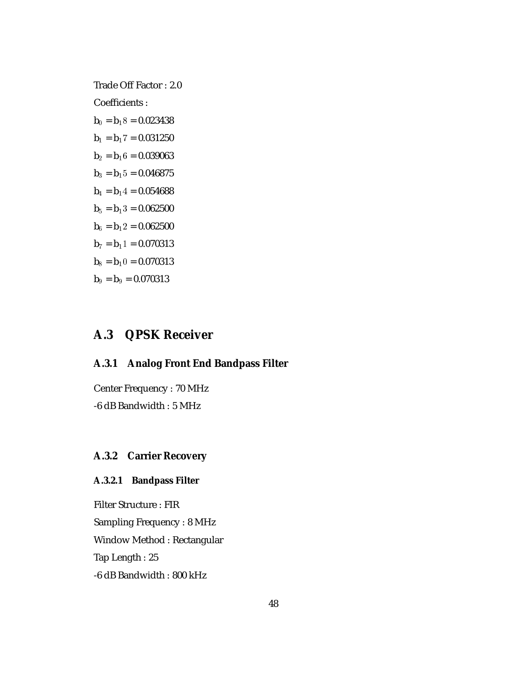Trade Off Factor : 2.0

Coefficients :

 $\mathbf{b}_0 = \mathbf{b}_1 8 = 0.023438$  ${\bf b}_1={\bf b}_17=0.031250$  $b_2 = b_16 = 0.039063$  $b_3 = b_15 = 0.046875$  $b_4 = b_14 = 0.054688$  $b_5 = b_13 = 0.062500$  $b_6 = b_12 = 0.062500$  $b_7 = b_11 = 0.070313$  $$  $b_9 = b_9 = 0.070313$ 

# **A.3 QPSK Receiver**

### **A.3.1 Analog Front End Bandpass Filter**

Center Frequency : 70 MHz -6 dB Bandwidth : 5 MHz

### **A.3.2 Carrier Recovery**

### **A.3.2.1 Bandpass Filter**

Filter Structure : FIR Sampling Frequency : 8 MHz Window Method : Rectangular Tap Length : 25 -6 dB Bandwidth : 800 kHz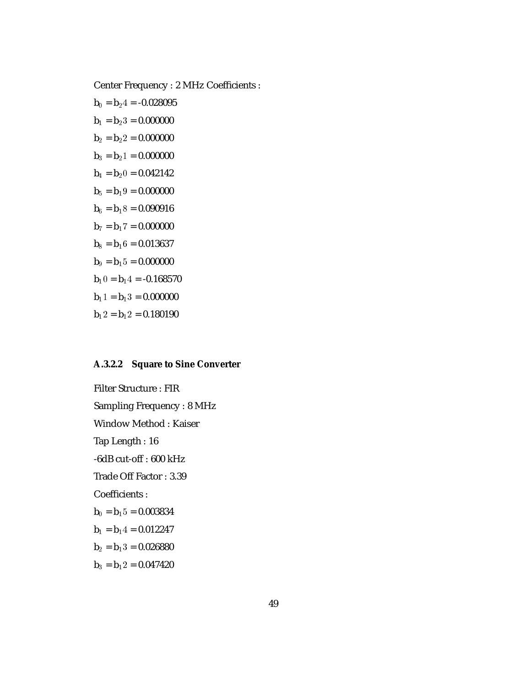Center Frequency : 2 MHz Coefficients :

 $$  $\mathbf{b}_1 = \mathbf{b}_2 3 = 0.000000$  $$  ${\bf b}_3={\bf b}_2$ 1 = 0.000000  $b_4 = b_20 = 0.042142$  $b_5 = b_19 = 0.000000$  $b_6 = b_18 = 0.090916$  $\mathbf{b}_7 = \mathbf{b}_1$ 7 = 0.000000  $b_8 = b_16 = 0.013637$  $\mathbf{b}_9 = \mathbf{b}_15 = 0.000000$  $$  $$  $b_12 = b_12 = 0.180190$ 

### **A.3.2.2 Square to Sine Converter**

Filter Structure : FIR Sampling Frequency : 8 MHz Window Method : Kaiser Tap Length : 16 -6dB cut-off : 600 kHz Trade Off Factor : 3.39 Coefficients :  $\mathbf{b}_0 = \mathbf{b}_1 5 = 0.003834$  $b_1 = b_1 4 = 0.012247$  $b_2 = b_13 = 0.026880$  $b_3 = b_12 = 0.047420$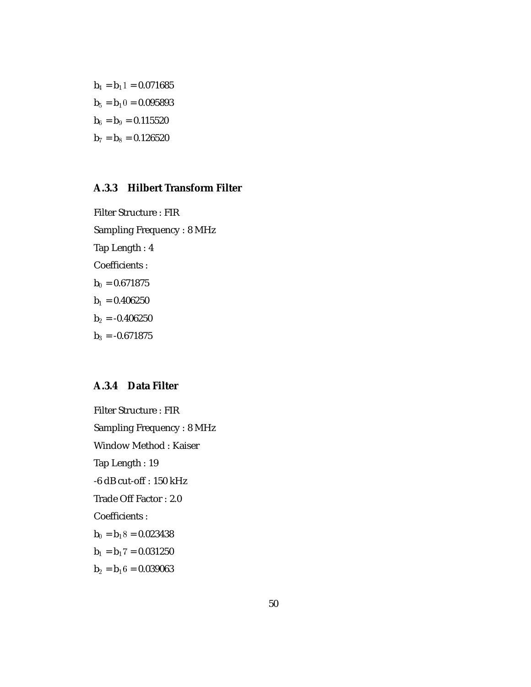$b_4 = b_11 = 0.071685$  $\mathbf{b}_5 = \mathbf{b}_1 0 = 0.095893$  $\mathbf{b}_6 = \mathbf{b}_9 = 0.115520$  $$ 

### **A.3.3 Hilbert Transform Filter**

Filter Structure : FIR Sampling Frequency : 8 MHz Tap Length : 4 Coefficients :  $b_0 = 0.671875$  $b_1 = 0.406250$  $b_2 = -0.406250$  $b_3 = -0.671875$ 

### **A.3.4 Data Filter**

Filter Structure : FIR Sampling Frequency : 8 MHz Window Method : Kaiser Tap Length : 19 -6 dB cut-off : 150 kHz Trade Off Factor : 2.0 Coefficients :  $b_0 = b_18 = 0.023438$  ${\bf b}_1={\bf b}_17={\bf 0.031250}$  $b_2 = b_16 = 0.039063$